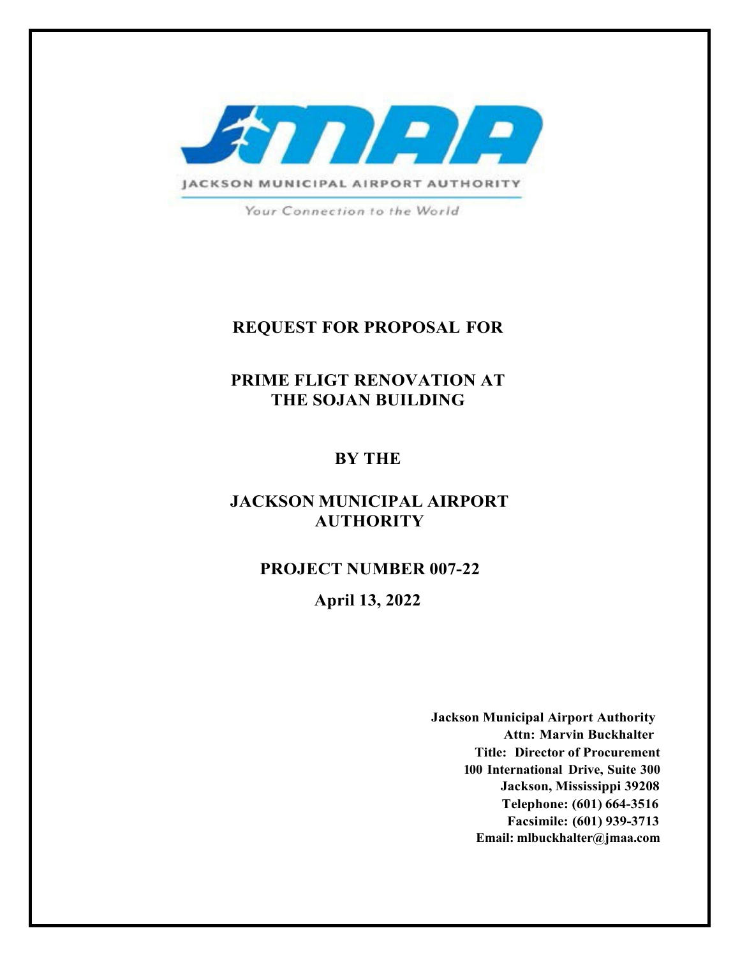

Your Connection to the World

## **REQUEST FOR PROPOSAL FOR**

**PRIME FLIGT RENOVATION AT THE SOJAN BUILDING** 

## **BY THE**

## **JACKSON MUNICIPAL AIRPORT AUTHORITY**

**PROJECT NUMBER 007-22**

**April 13, 2022**

**Jackson Municipal Airport Authority Attn: Marvin Buckhalter Title: Director of Procurement 100 International Drive, Suite 300 Jackson, Mississippi 39208 Telephone: (601) 664-3516 Facsimile: (601) 939-3713 Email: mlbuckhalter@jmaa.com**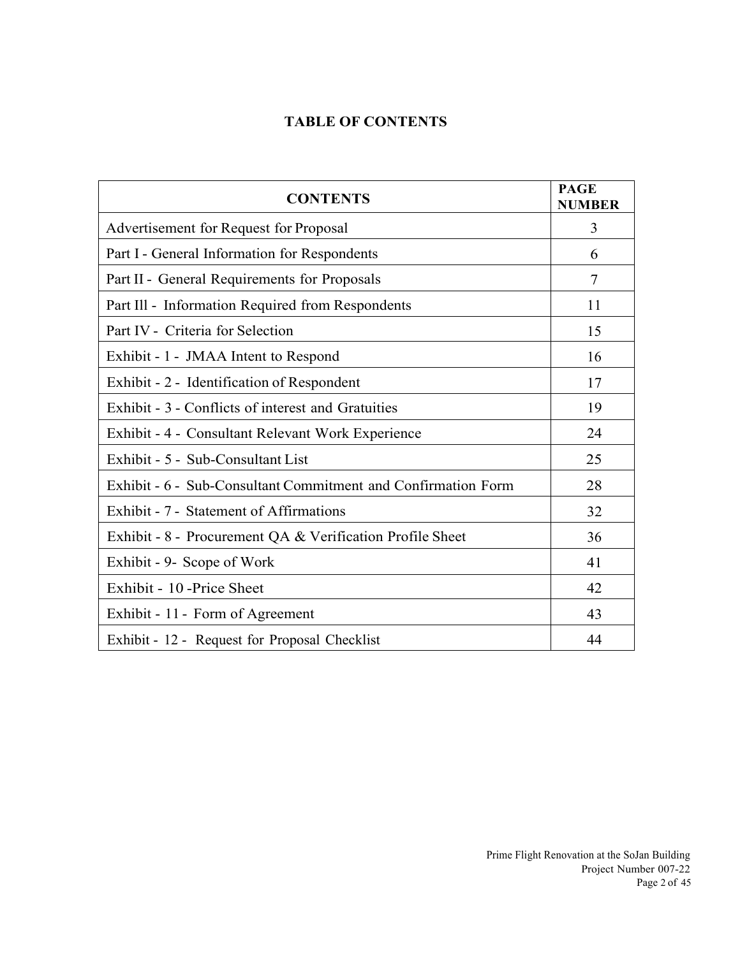## **TABLE OF CONTENTS**

| <b>CONTENTS</b>                                               | <b>PAGE</b><br><b>NUMBER</b> |
|---------------------------------------------------------------|------------------------------|
| Advertisement for Request for Proposal                        | 3                            |
| Part I - General Information for Respondents                  | 6                            |
| Part II - General Requirements for Proposals                  | 7                            |
| Part Ill - Information Required from Respondents              | 11                           |
| Part IV - Criteria for Selection                              | 15                           |
| Exhibit - 1 - JMAA Intent to Respond                          | 16                           |
| Exhibit - 2 - Identification of Respondent                    | 17                           |
| Exhibit - 3 - Conflicts of interest and Gratuities            | 19                           |
| Exhibit - 4 - Consultant Relevant Work Experience             | 24                           |
| Exhibit - 5 - Sub-Consultant List                             | 25                           |
| Exhibit - 6 - Sub-Consultant Commitment and Confirmation Form | 28                           |
| Exhibit - 7 - Statement of Affirmations                       | 32                           |
| Exhibit - 8 - Procurement QA & Verification Profile Sheet     | 36                           |
| Exhibit - 9- Scope of Work                                    | 41                           |
| Exhibit - 10 - Price Sheet                                    | 42                           |
| Exhibit - 11 - Form of Agreement                              | 43                           |
| Exhibit - 12 - Request for Proposal Checklist                 | 44                           |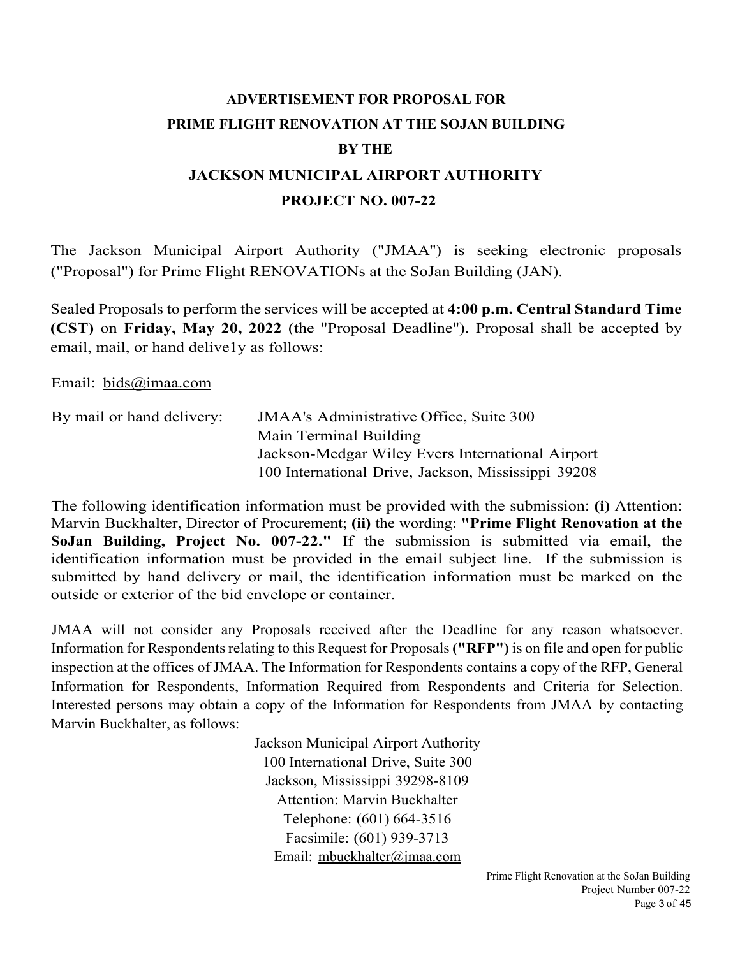# **ADVERTISEMENT FOR PROPOSAL FOR PRIME FLIGHT RENOVATION AT THE SOJAN BUILDING BY THE JACKSON MUNICIPAL AIRPORT AUTHORITY**

#### **PROJECT NO. 007-22**

The Jackson Municipal Airport Authority ("JMAA'') is seeking electronic proposals ("Proposal") for Prime Flight RENOVATIONs at the SoJan Building (JAN).

Sealed Proposals to perform the services will be accepted at **4:00 p.m. Central Standard Time (CST)** on **Friday, May 20, 2022** (the "Proposal Deadline"). Proposal shall be accepted by email, mail, or hand delive1y as follows:

Email: bids@imaa.com

| By mail or hand delivery: | <b>JMAA's Administrative Office, Suite 300</b>      |
|---------------------------|-----------------------------------------------------|
|                           | Main Terminal Building                              |
|                           | Jackson-Medgar Wiley Evers International Airport    |
|                           | 100 International Drive, Jackson, Mississippi 39208 |

The following identification information must be provided with the submission: **(i)** Attention: Marvin Buckhalter, Director of Procurement; **(ii)** the wording: **"Prime Flight Renovation at the SoJan Building, Project No. 007-22."** If the submission is submitted via email, the identification information must be provided in the email subject line. If the submission is submitted by hand delivery or mail, the identification information must be marked on the outside or exterior of the bid envelope or container.

JMAA will not consider any Proposals received after the Deadline for any reason whatsoever. Information for Respondents relating to this Request for Proposals **("RFP")** is on file and open for public inspection at the offices of JMAA. The Information for Respondents contains a copy of the RFP, General Information for Respondents, Information Required from Respondents and Criteria for Selection. Interested persons may obtain a copy of the Information for Respondents from JMAA by contacting Marvin Buckhalter, as follows:

> Jackson Municipal Airport Authority 100 International Drive, Suite 300 Jackson, Mississippi 39298-8109 Attention: Marvin Buckhalter Telephone: (601) 664-3516 Facsimile: (601) 939-3713 Email: mbuckhalter@jmaa.com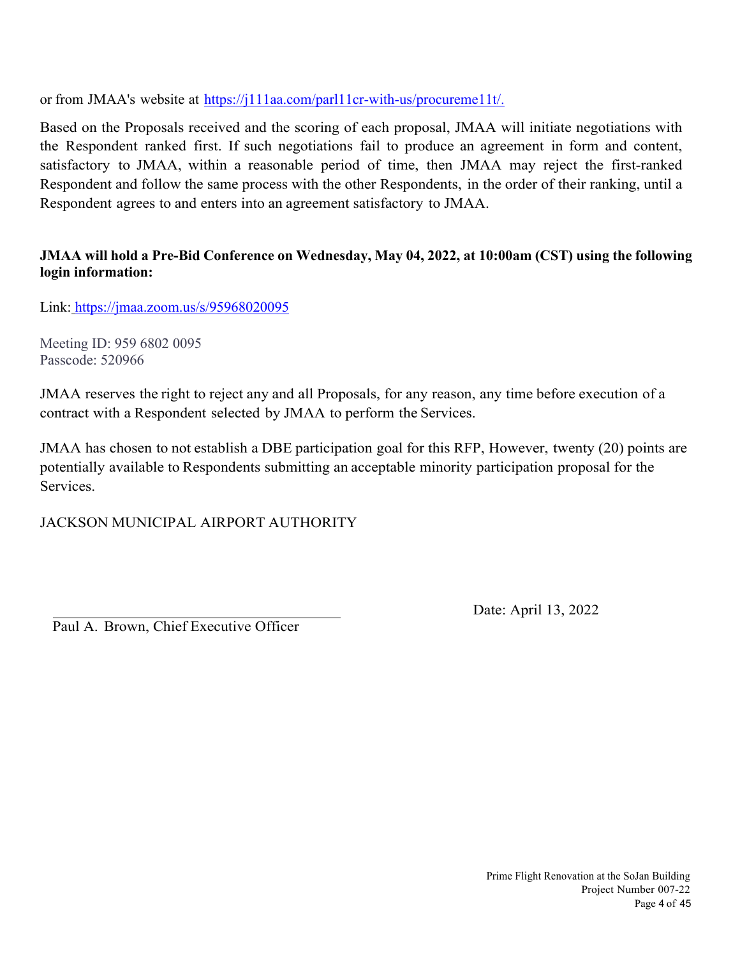or from JMAA's website at https://j111aa.com/parl11cr-with-us/procureme11t/.

Based on the Proposals received and the scoring of each proposal, JMAA will initiate negotiations with the Respondent ranked first. If such negotiations fail to produce an agreement in form and content, satisfactory to JMAA, within a reasonable period of time, then JMAA may reject the first-ranked Respondent and follow the same process with the other Respondents, in the order of their ranking, until a Respondent agrees to and enters into an agreement satisfactory to JMAA.

## **JMAA will hold a Pre-Bid Conference on Wednesday, May 04, 2022, at 10:00am (CST) using the following login information:**

Link: https://jmaa.zoom.us/s/95968020095

Meeting ID: 959 6802 0095 Passcode: 520966

JMAA reserves the right to reject any and all Proposals, for any reason, any time before execution of a contract with a Respondent selected by JMAA to perform the Services.

JMAA has chosen to not establish a DBE participation goal for this RFP, However, twenty (20) points are potentially available to Respondents submitting an acceptable minority participation proposal for the Services.

JACKSON MUNICIPAL AIRPORT AUTHORITY

Paul A. Brown, Chief Executive Officer

Date: April 13, 2022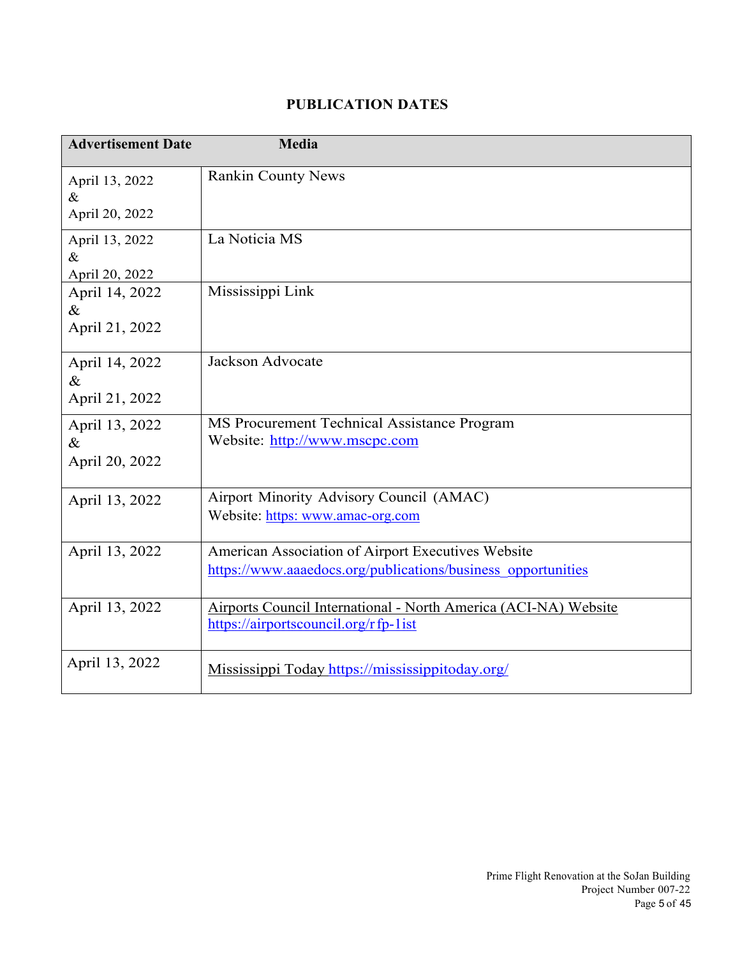## **PUBLICATION DATES**

| <b>Advertisement Date</b>                | Media                                                                                                              |
|------------------------------------------|--------------------------------------------------------------------------------------------------------------------|
| April 13, 2022<br>$\&$<br>April 20, 2022 | <b>Rankin County News</b>                                                                                          |
| April 13, 2022<br>$\&$<br>April 20, 2022 | La Noticia MS                                                                                                      |
| April 14, 2022<br>$\&$<br>April 21, 2022 | Mississippi Link                                                                                                   |
| April 14, 2022<br>$\&$<br>April 21, 2022 | Jackson Advocate                                                                                                   |
| April 13, 2022<br>$\&$<br>April 20, 2022 | MS Procurement Technical Assistance Program<br>Website: http://www.mscpc.com                                       |
| April 13, 2022                           | Airport Minority Advisory Council (AMAC)<br>Website: https: www.amac-org.com                                       |
| April 13, 2022                           | American Association of Airport Executives Website<br>https://www.aaaedocs.org/publications/business opportunities |
| April 13, 2022                           | Airports Council International - North America (ACI-NA) Website<br>https://airportscouncil.org/rfp-list            |
| April 13, 2022                           | Mississippi Today https://mississippitoday.org/                                                                    |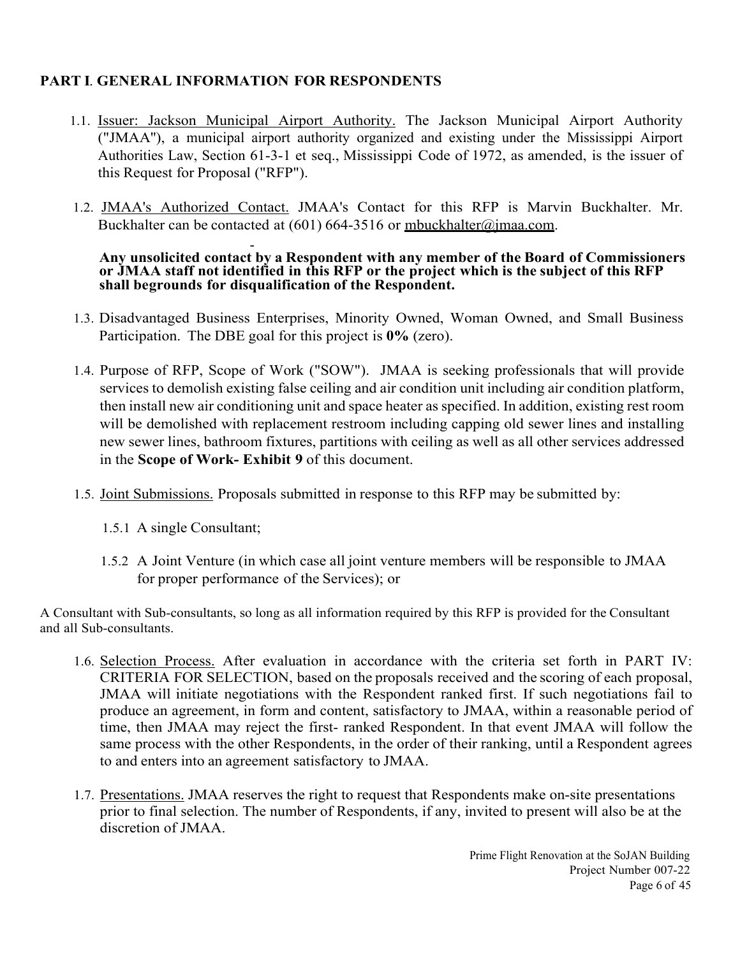## **PART I**. **GENERAL INFORMATION FOR RESPONDENTS**

- 1.1. Issuer: Jackson Municipal Airport Authority. The Jackson Municipal Airport Authority ("JMAA''), a municipal airport authority organized and existing under the Mississippi Airport Authorities Law, Section 61-3-1 et seq., Mississippi Code of 1972, as amended, is the issuer of this Request for Proposal ("RFP").
- 1.2. JMAA's Authorized Contact. JMAA's Contact for this RFP is Marvin Buckhalter. Mr. Buckhalter can be contacted at  $(601)$  664-3516 or mbuckhalter@jmaa.com.

#### - **Any unsolicited contact by a Respondent with any member of the Board of Commissioners or JMAA staff not identified in this RFP or the project which is the subject of this RFP shall be grounds for disqualification of the Respondent.**

- 1.3. Disadvantaged Business Enterprises, Minority Owned, Woman Owned, and Small Business Participation. The DBE goal for this project is **0%** (zero).
- 1.4. Purpose of RFP, Scope of Work ("SOW"). JMAA is seeking professionals that will provide services to demolish existing false ceiling and air condition unit including air condition platform, then install new air conditioning unit and space heater as specified. In addition, existing rest room will be demolished with replacement restroom including capping old sewer lines and installing new sewer lines, bathroom fixtures, partitions with ceiling as well as all other services addressed in the **Scope of Work- Exhibit 9** of this document.
- 1.5. Joint Submissions. Proposals submitted in response to this RFP may be submitted by:
	- 1.5.1 A single Consultant;
	- 1.5.2 A Joint Venture (in which case all joint venture members will be responsible to JMAA for proper performance of the Services); or

A Consultant with Sub-consultants, so long as all information required by this RFP is provided for the Consultant and all Sub-consultants.

- 1.6. Selection Process. After evaluation in accordance with the criteria set forth in PART IV: CRITERIA FOR SELECTION, based on the proposals received and the scoring of each proposal, JMAA will initiate negotiations with the Respondent ranked first. If such negotiations fail to produce an agreement, in form and content, satisfactory to JMAA, within a reasonable period of time, then JMAA may reject the first- ranked Respondent. In that event JMAA will follow the same process with the other Respondents, in the order of their ranking, until a Respondent agrees to and enters into an agreement satisfactory to JMAA.
- 1.7. Presentations. JMAA reserves the right to request that Respondents make on-site presentations prior to final selection. The number of Respondents, if any, invited to present will also be at the discretion of JMAA.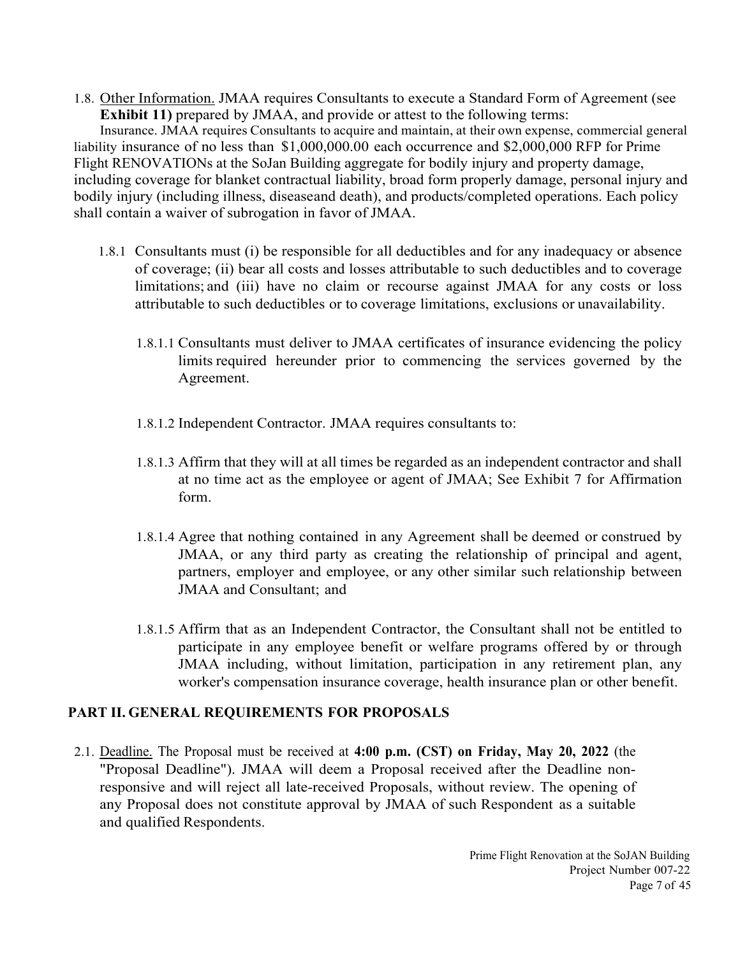1.8. Other Information. JMAA requires Consultants to execute a Standard Form of Agreement (see **Exhibit 11)** prepared by JMAA, and provide or attest to the following terms:

Insurance. JMAA requires Consultants to acquire and maintain, at their own expense, commercial general liability insurance of no less than \$1,000,000.00 each occurrence and \$2,000,000 RFP for Prime Flight RENOVATIONs at the SoJan Building aggregate for bodily injury and property damage, including coverage for blanket contractual liability, broad form properly damage, personal injury and bodily injury (including illness, diseaseand death), and products/completed operations. Each policy shall contain a waiver of subrogation in favor of JMAA.

- 1.8.1 Consultants must (i) be responsible for all deductibles and for any inadequacy or absence of coverage; (ii) bear all costs and losses attributable to such deductibles and to coverage limitations; and (iii) have no claim or recourse against JMAA for any costs or loss attributable to such deductibles or to coverage limitations, exclusions or unavailability.
	- 1.8.1.1 Consultants must deliver to JMAA certificates of insurance evidencing the policy limits required hereunder prior to commencing the services governed by the Agreement.
	- 1.8.1.2 Independent Contractor. JMAA requires consultants to:
	- 1.8.1.3 Affirm that they will at all times be regarded as an independent contractor and shall at no time act as the employee or agent of JMAA; See Exhibit 7 for Affirmation form.
	- 1.8.1.4 Agree that nothing contained in any Agreement shall be deemed or construed by JMAA, or any third party as creating the relationship of principal and agent, partners, employer and employee, or any other similar such relationship between JMAA and Consultant; and
	- 1.8.1.5 Affirm that as an Independent Contractor, the Consultant shall not be entitled to participate in any employee benefit or welfare programs offered by or through JMAA including, without limitation, participation in any retirement plan, any worker's compensation insurance coverage, health insurance plan or other benefit.

## **PART II. GENERAL REQUIREMENTS FOR PROPOSALS**

2.1. Deadline. The Proposal must be received at **4:00 p.m. (CST) on Friday, May 20, 2022** (the "Proposal Deadline"). JMAA will deem a Proposal received after the Deadline nonresponsive and will reject all late-received Proposals, without review. The opening of any Proposal does not constitute approval by JMAA of such Respondent as a suitable and qualified Respondents.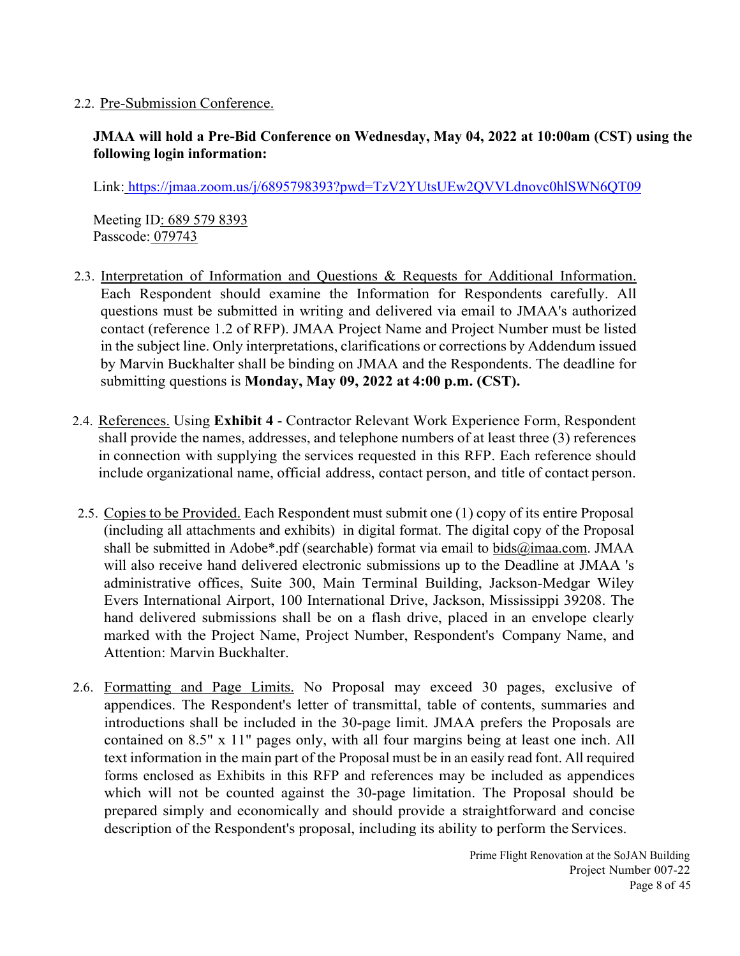#### 2.2. Pre-Submission Conference.

## **JMAA will hold a Pre-Bid Conference on Wednesday, May 04, 2022 at 10:00am (CST) using the following login information:**

Link: https://jmaa.zoom.us/j/6895798393?pwd=TzV2YUtsUEw2QVVLdnovc0hlSWN6QT09

Meeting ID: 689 579 8393 Passcode: 079743

- 2.3. Interpretation of Information and Questions & Requests for Additional Information. Each Respondent should examine the Information for Respondents carefully. All questions must be submitted in writing and delivered via email to JMAA's authorized contact (reference 1.2 of RFP). JMAA Project Name and Project Number must be listed in the subject line. Only interpretations, clarifications or corrections by Addendum issued by Marvin Buckhalter shall be binding on JMAA and the Respondents. The deadline for submitting questions is **Monday, May 09, 2022 at 4:00 p.m. (CST).**
- 2.4. References. Using **Exhibit 4**  Contractor Relevant Work Experience Form, Respondent shall provide the names, addresses, and telephone numbers of at least three (3) references in connection with supplying the services requested in this RFP. Each reference should include organizational name, official address, contact person, and title of contact person.
- 2.5. Copies to be Provided. Each Respondent must submit one (1) copy of its entire Proposal (including all attachments and exhibits) in digital format. The digital copy of the Proposal shall be submitted in Adobe\*.pdf (searchable) format via email to bids@imaa.com. JMAA will also receive hand delivered electronic submissions up to the Deadline at JMAA 's administrative offices, Suite 300, Main Terminal Building, Jackson-Medgar Wiley Evers International Airport, 100 International Drive, Jackson, Mississippi 39208. The hand delivered submissions shall be on a flash drive, placed in an envelope clearly marked with the Project Name, Project Number, Respondent's Company Name, and Attention: Marvin Buckhalter.
- 2.6. Formatting and Page Limits. No Proposal may exceed 30 pages, exclusive of appendices. The Respondent's letter of transmittal, table of contents, summaries and introductions shall be included in the 30-page limit. JMAA prefers the Proposals are contained on 8.5" x 11" pages only, with all four margins being at least one inch. All text information in the main part of the Proposal must be in an easily read font. All required forms enclosed as Exhibits in this RFP and references may be included as appendices which will not be counted against the 30-page limitation. The Proposal should be prepared simply and economically and should provide a straightforward and concise description of the Respondent's proposal, including its ability to perform the Services.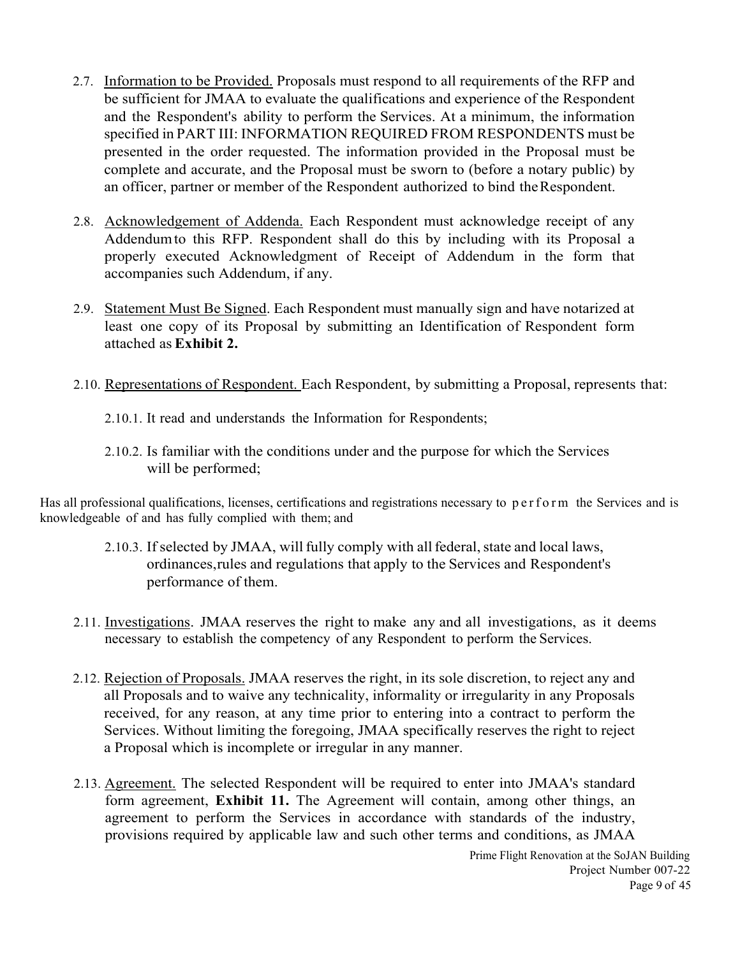- 2.7. Information to be Provided. Proposals must respond to all requirements of the RFP and be sufficient for JMAA to evaluate the qualifications and experience of the Respondent and the Respondent's ability to perform the Services. At a minimum, the information specified in PART III: INFORMATION REQUIRED FROM RESPONDENTS must be presented in the order requested. The information provided in the Proposal must be complete and accurate, and the Proposal must be sworn to (before a notary public) by an officer, partner or member of the Respondent authorized to bind the Respondent.
- 2.8. Acknowledgement of Addenda. Each Respondent must acknowledge receipt of any Addendum to this RFP. Respondent shall do this by including with its Proposal a properly executed Acknowledgment of Receipt of Addendum in the form that accompanies such Addendum, if any.
- 2.9. Statement Must Be Signed. Each Respondent must manually sign and have notarized at least one copy of its Proposal by submitting an Identification of Respondent form attached as **Exhibit 2.**
- 2.10. Representations of Respondent. Each Respondent, by submitting a Proposal, represents that:
	- 2.10.1. It read and understands the Information for Respondents;
	- 2.10.2. Is familiar with the conditions under and the purpose for which the Services will be performed;

Has all professional qualifications, licenses, certifications and registrations necessary to perform the Services and is knowledgeable of and has fully complied with them; and

- 2.10.3. If selected by JMAA, will fully comply with all federal, state and local laws, ordinances, rules and regulations that apply to the Services and Respondent's performance of them.
- 2.11. Investigations. JMAA reserves the right to make any and all investigations, as it deems necessary to establish the competency of any Respondent to perform the Services.
- 2.12. Rejection of Proposals. JMAA reserves the right, in its sole discretion, to reject any and all Proposals and to waive any technicality, informality or irregularity in any Proposals received, for any reason, at any time prior to entering into a contract to perform the Services. Without limiting the foregoing, JMAA specifically reserves the right to reject a Proposal which is incomplete or irregular in any manner.
- 2.13. Agreement. The selected Respondent will be required to enter into JMAA's standard form agreement, **Exhibit 11.** The Agreement will contain, among other things, an agreement to perform the Services in accordance with standards of the industry, provisions required by applicable law and such other terms and conditions, as JMAA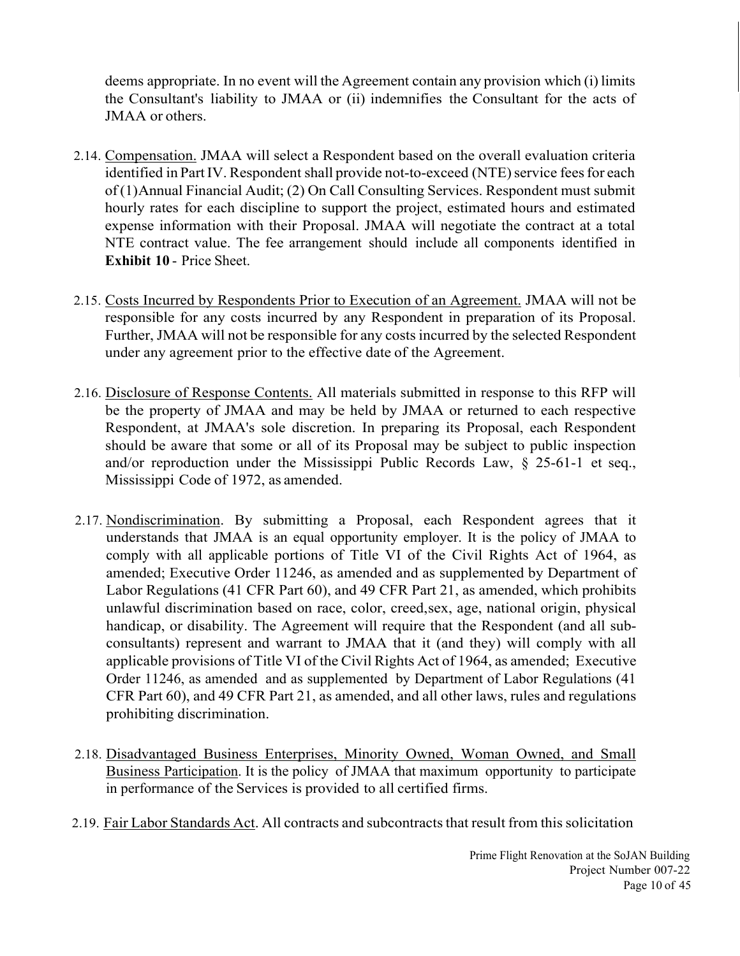deems appropriate. In no event will the Agreement contain any provision which (i) limits the Consultant's liability to JMAA or (ii) indemnifies the Consultant for the acts of JMAA or others.

- 2.14. Compensation. JMAA will select a Respondent based on the overall evaluation criteria identified in Part IV. Respondent shall provide not-to-exceed (NTE) service fees for each of (1) Annual Financial Audit; (2) On Call Consulting Services. Respondent must submit hourly rates for each discipline to support the project, estimated hours and estimated expense information with their Proposal. JMAA will negotiate the contract at a total NTE contract value. The fee arrangement should include all components identified in **Exhibit 10** - Price Sheet.
- 2.15. Costs Incurred by Respondents Prior to Execution of an Agreement. JMAA will not be responsible for any costs incurred by any Respondent in preparation of its Proposal. Further, JMAA will not be responsible for any costs incurred by the selected Respondent under any agreement prior to the effective date of the Agreement.
- 2.16. Disclosure of Response Contents. All materials submitted in response to this RFP will be the property of JMAA and may be held by JMAA or returned to each respective Respondent, at JMAA's sole discretion. In preparing its Proposal, each Respondent should be aware that some or all of its Proposal may be subject to public inspection and/or reproduction under the Mississippi Public Records Law, § 25-61-1 et seq., Mississippi Code of 1972, as amended.
- 2.17. Nondiscrimination. By submitting a Proposal, each Respondent agrees that it understands that JMAA is an equal opportunity employer. It is the policy of JMAA to comply with all applicable portions of Title VI of the Civil Rights Act of 1964, as amended; Executive Order 11246, as amended and as supplemented by Department of Labor Regulations (41 CFR Part 60), and 49 CFR Part 21, as amended, which prohibits unlawful discrimination based on race, color, creed, sex, age, national origin, physical handicap, or disability. The Agreement will require that the Respondent (and all subconsultants) represent and warrant to JMAA that it (and they) will comply with all applicable provisions of Title VI of the Civil Rights Act of 1964, as amended; Executive Order 11246, as amended and as supplemented by Department of Labor Regulations (41 CFR Part 60), and 49 CFR Part 21, as amended, and all other laws, rules and regulations prohibiting discrimination.
- 2.18. Disadvantaged Business Enterprises, Minority Owned, Woman Owned, and Small Business Participation. It is the policy of JMAA that maximum opportunity to participate in performance of the Services is provided to all certified firms.
- 2.19. Fair Labor Standards Act. All contracts and subcontracts that result from this solicitation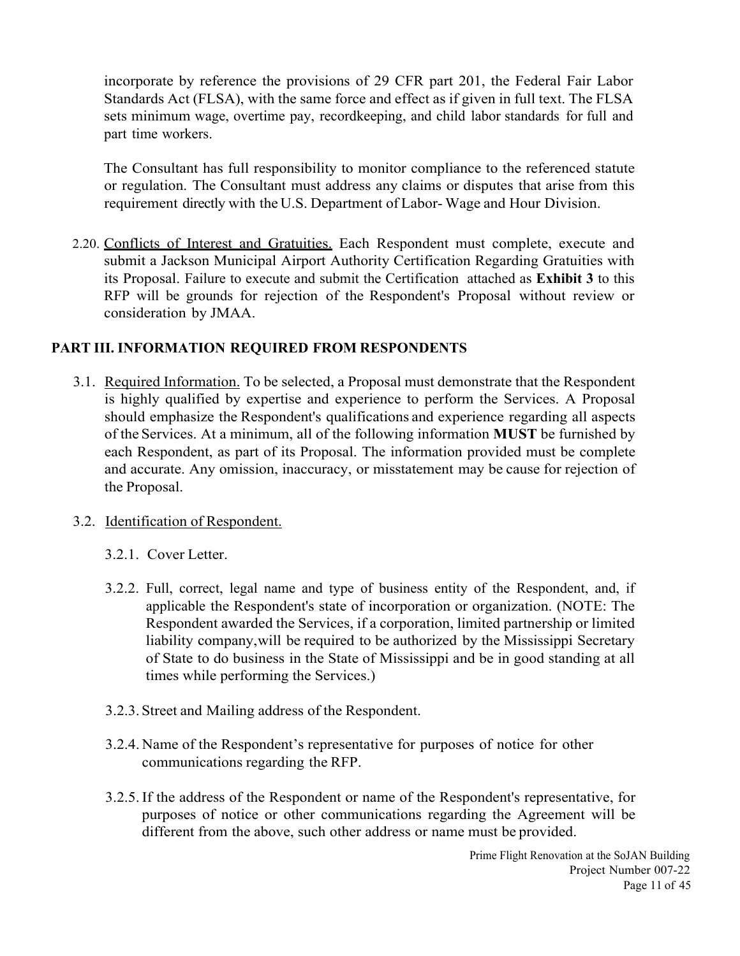incorporate by reference the provisions of 29 CFR part 201, the Federal Fair Labor Standards Act (FLSA), with the same force and effect as if given in full text. The FLSA sets minimum wage, overtime pay, recordkeeping, and child labor standards for full and part time workers.

The Consultant has full responsibility to monitor compliance to the referenced statute or regulation. The Consultant must address any claims or disputes that arise from this requirement directly with the U.S. Department of Labor- Wage and Hour Division.

2.20. Conflicts of Interest and Gratuities. Each Respondent must complete, execute and submit a Jackson Municipal Airport Authority Certification Regarding Gratuities with its Proposal. Failure to execute and submit the Certification attached as **Exhibit 3** to this RFP will be grounds for rejection of the Respondent's Proposal without review or consideration by JMAA.

## **PART III. INFORMATION REQUIRED FROM RESPONDENTS**

3.1. Required Information. To be selected, a Proposal must demonstrate that the Respondent is highly qualified by expertise and experience to perform the Services. A Proposal should emphasize the Respondent's qualifications and experience regarding all aspects of the Services. At a minimum, all of the following information **MUST** be furnished by each Respondent, as part of its Proposal. The information provided must be complete and accurate. Any omission, inaccuracy, or misstatement may be cause for rejection of the Proposal.

#### 3.2. Identification of Respondent.

- 3.2.1. Cover Letter.
- 3.2.2. Full, correct, legal name and type of business entity of the Respondent, and, if applicable the Respondent's state of incorporation or organization. (NOTE: The Respondent awarded the Services, if a corporation, limited partnership or limited liability company, will be required to be authorized by the Mississippi Secretary of State to do business in the State of Mississippi and be in good standing at all times while performing the Services.)
- 3.2.3.Street and Mailing address of the Respondent.
- 3.2.4. Name of the Respondent's representative for purposes of notice for other communications regarding the RFP.
- 3.2.5.If the address of the Respondent or name of the Respondent's representative, for purposes of notice or other communications regarding the Agreement will be different from the above, such other address or name must be provided.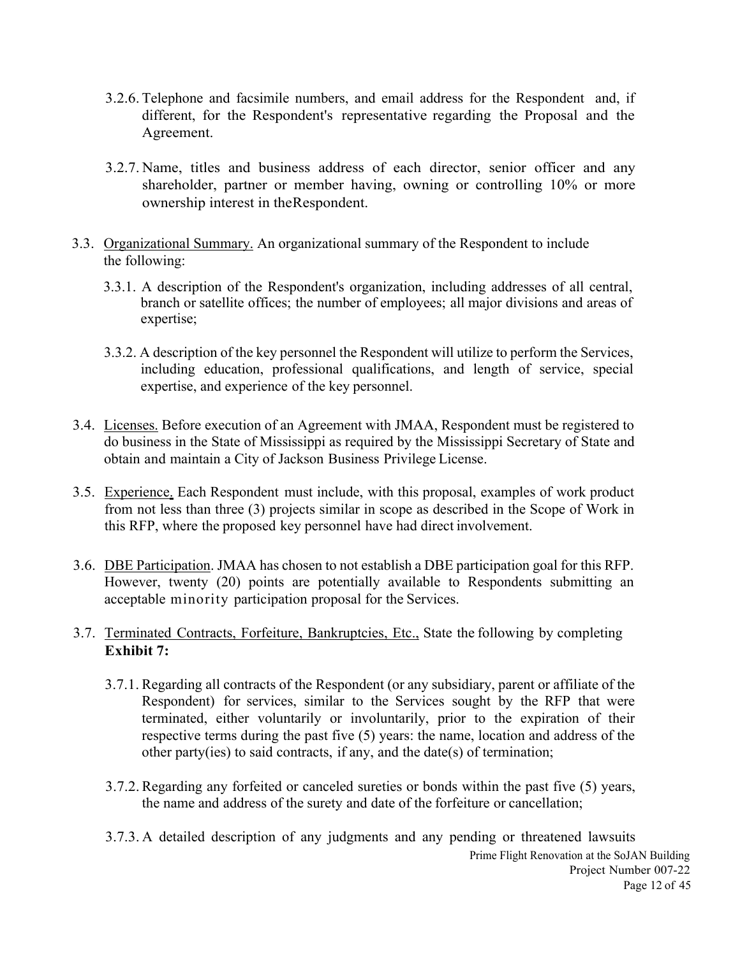- 3.2.6. Telephone and facsimile numbers, and email address for the Respondent and, if different, for the Respondent's representative regarding the Proposal and the Agreement.
- 3.2.7. Name, titles and business address of each director, senior officer and any shareholder, partner or member having, owning or controlling 10% or more ownership interest in the Respondent.
- 3.3. Organizational Summary. An organizational summary of the Respondent to include the following:
	- 3.3.1. A description of the Respondent's organization, including addresses of all central, branch or satellite offices; the number of employees; all major divisions and areas of expertise;
	- 3.3.2. A description of the key personnel the Respondent will utilize to perform the Services, including education, professional qualifications, and length of service, special expertise, and experience of the key personnel.
- 3.4. Licenses. Before execution of an Agreement with JMAA, Respondent must be registered to do business in the State of Mississippi as required by the Mississippi Secretary of State and obtain and maintain a City of Jackson Business Privilege License.
- 3.5. Experience. Each Respondent must include, with this proposal, examples of work product from not less than three (3) projects similar in scope as described in the Scope of Work in this RFP, where the proposed key personnel have had direct involvement.
- 3.6. DBE Participation. JMAA has chosen to not establish a DBE participation goal for this RFP. However, twenty (20) points are potentially available to Respondents submitting an acceptable minority participation proposal for the Services.
- 3.7. Terminated Contracts, Forfeiture, Bankruptcies, Etc., State the following by completing **Exhibit 7:**
	- 3.7.1. Regarding all contracts of the Respondent (or any subsidiary, parent or affiliate of the Respondent) for services, similar to the Services sought by the RFP that were terminated, either voluntarily or involuntarily, prior to the expiration of their respective terms during the past five (5) years: the name, location and address of the other party(ies) to said contracts, if any, and the date(s) of termination;
	- 3.7.2.Regarding any forfeited or canceled sureties or bonds within the past five (5) years, the name and address of the surety and date of the forfeiture or cancellation;
	- Prime Flight Renovation at the SoJAN Building Project Number 007-22 Page 12 of 45 3.7.3. A detailed description of any judgments and any pending or threatened lawsuits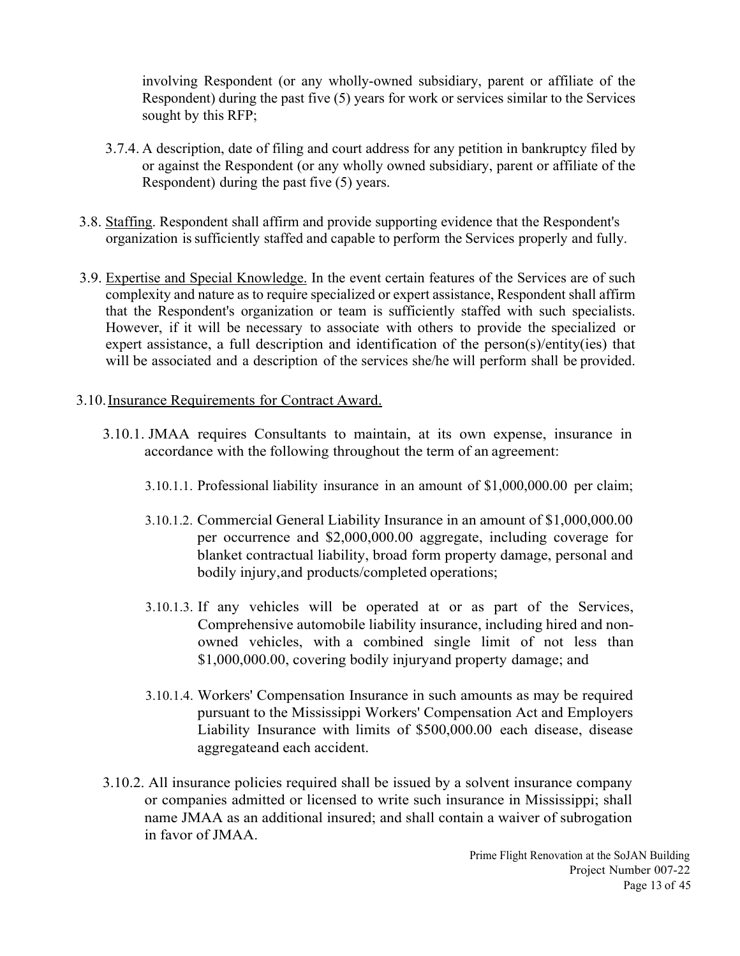involving Respondent (or any wholly-owned subsidiary, parent or affiliate of the Respondent) during the past five (5) years for work or services similar to the Services sought by this RFP;

- 3.7.4. A description, date of filing and court address for any petition in bankruptcy filed by or against the Respondent (or any wholly owned subsidiary, parent or affiliate of the Respondent) during the past five (5) years.
- 3.8. Staffing. Respondent shall affirm and provide supporting evidence that the Respondent's organization is sufficiently staffed and capable to perform the Services properly and fully.
- 3.9. Expertise and Special Knowledge. In the event certain features of the Services are of such complexity and nature as to require specialized or expert assistance, Respondent shall affirm that the Respondent's organization or team is sufficiently staffed with such specialists. However, if it will be necessary to associate with others to provide the specialized or expert assistance, a full description and identification of the person(s)/entity(ies) that will be associated and a description of the services she/he will perform shall be provided.
- 3.10.Insurance Requirements for Contract Award.
	- 3.10.1. JMAA requires Consultants to maintain, at its own expense, insurance in accordance with the following throughout the term of an agreement:
		- 3.10.1.1. Professional liability insurance in an amount of \$1,000,000.00 per claim;
		- 3.10.1.2. Commercial General Liability Insurance in an amount of \$1,000,000.00 per occurrence and \$2,000,000.00 aggregate, including coverage for blanket contractual liability, broad form property damage, personal and bodily injury, and products/completed operations;
		- 3.10.1.3. If any vehicles will be operated at or as part of the Services, Comprehensive automobile liability insurance, including hired and nonowned vehicles, with a combined single limit of not less than \$1,000,000.00, covering bodily injury and property damage; and
		- 3.10.1.4. Workers' Compensation Insurance in such amounts as may be required pursuant to the Mississippi Workers' Compensation Act and Employers Liability Insurance with limits of \$500,000.00 each disease, disease aggregate and each accident.
	- 3.10.2. All insurance policies required shall be issued by a solvent insurance company or companies admitted or licensed to write such insurance in Mississippi; shall name JMAA as an additional insured; and shall contain a waiver of subrogation in favor of JMAA.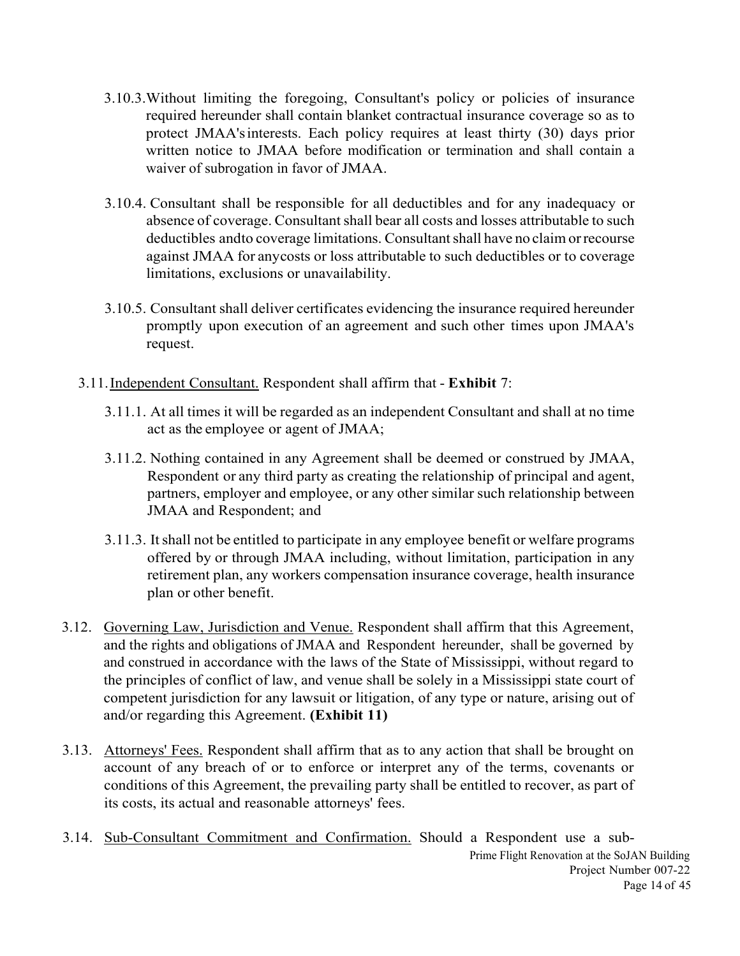- 3.10.3.Without limiting the foregoing, Consultant's policy or policies of insurance required hereunder shall contain blanket contractual insurance coverage so as to protect JMAA's interests. Each policy requires at least thirty (30) days prior written notice to JMAA before modification or termination and shall contain a waiver of subrogation in favor of JMAA.
- 3.10.4. Consultant shall be responsible for all deductibles and for any inadequacy or absence of coverage. Consultant shall bear all costs and losses attributable to such deductibles and to coverage limitations. Consultant shall have no claim or recourse against JMAA for any costs or loss attributable to such deductibles or to coverage limitations, exclusions or unavailability.
- 3.10.5. Consultant shall deliver certificates evidencing the insurance required hereunder promptly upon execution of an agreement and such other times upon JMAA's request.
- 3.11.Independent Consultant. Respondent shall affirm that **Exhibit** 7:
	- 3.11.1. At all times it will be regarded as an independent Consultant and shall at no time act as the employee or agent of JMAA;
	- 3.11.2. Nothing contained in any Agreement shall be deemed or construed by JMAA, Respondent or any third party as creating the relationship of principal and agent, partners, employer and employee, or any other similar such relationship between JMAA and Respondent; and
	- 3.11.3. It shall not be entitled to participate in any employee benefit or welfare programs offered by or through JMAA including, without limitation, participation in any retirement plan, any workers compensation insurance coverage, health insurance plan or other benefit.
- 3.12. Governing Law, Jurisdiction and Venue. Respondent shall affirm that this Agreement, and the rights and obligations of JMAA and Respondent hereunder, shall be governed by and construed in accordance with the laws of the State of Mississippi, without regard to the principles of conflict of law, and venue shall be solely in a Mississippi state court of competent jurisdiction for any lawsuit or litigation, of any type or nature, arising out of and/or regarding this Agreement. **(Exhibit 11)**
- 3.13. Attorneys' Fees. Respondent shall affirm that as to any action that shall be brought on account of any breach of or to enforce or interpret any of the terms, covenants or conditions of this Agreement, the prevailing party shall be entitled to recover, as part of its costs, its actual and reasonable attorneys' fees.
- Prime Flight Renovation at the SoJAN Building Project Number 007-22 Page 14 of 45 3.14. Sub-Consultant Commitment and Confirmation. Should a Respondent use a sub-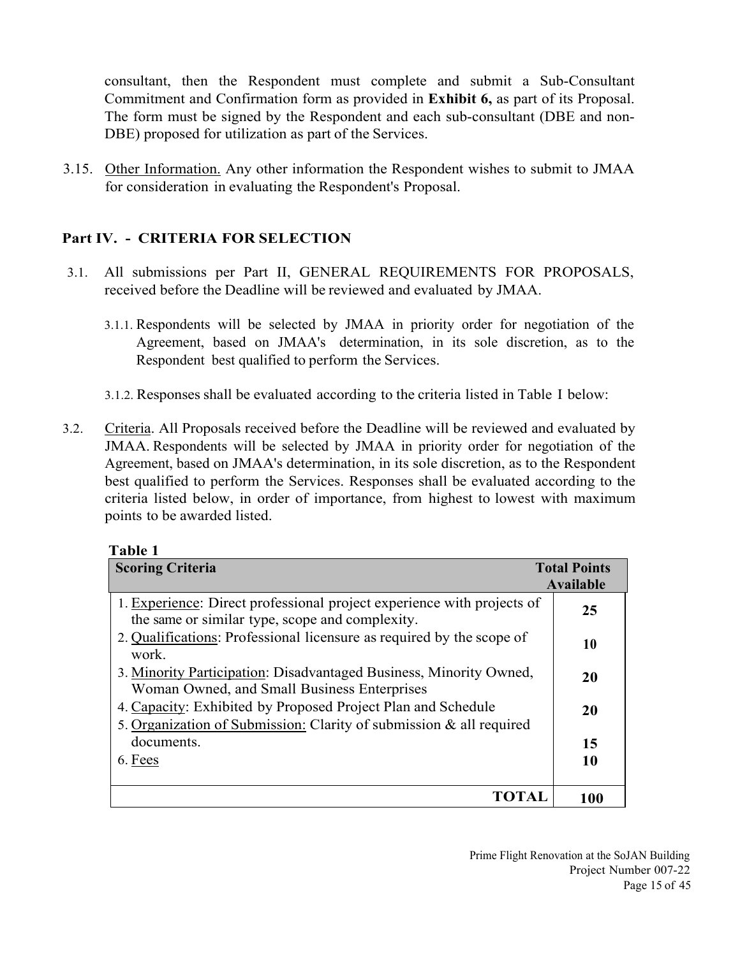consultant, then the Respondent must complete and submit a Sub-Consultant Commitment and Confirmation form as provided in **Exhibit 6,** as part of its Proposal. The form must be signed by the Respondent and each sub-consultant (DBE and non-DBE) proposed for utilization as part of the Services.

3.15. Other Information. Any other information the Respondent wishes to submit to JMAA for consideration in evaluating the Respondent's Proposal.

## **Part IV. - CRITERIA FOR SELECTION**

- 3.1. All submissions per Part II, GENERAL REQUIREMENTS FOR PROPOSALS, received before the Deadline will be reviewed and evaluated by JMAA.
	- 3.1.1. Respondents will be selected by JMAA in priority order for negotiation of the Agreement, based on JMAA's determination, in its sole discretion, as to the Respondent best qualified to perform the Services.
	- 3.1.2. Responses shall be evaluated according to the criteria listed in Table I below:
- 3.2. Criteria. All Proposals received before the Deadline will be reviewed and evaluated by JMAA. Respondents will be selected by JMAA in priority order for negotiation of the Agreement, based on JMAA's determination, in its sole discretion, as to the Respondent best qualified to perform the Services. Responses shall be evaluated according to the criteria listed below, in order of importance, from highest to lowest with maximum points to be awarded listed.

| и | וח<br>L<br>ш |  |
|---|--------------|--|
|   |              |  |

| <b>Scoring Criteria</b>                                                                                                             | <b>Total Points</b><br>Available |
|-------------------------------------------------------------------------------------------------------------------------------------|----------------------------------|
| 1. Experience: Direct professional project experience with projects of<br>the same or similar type, scope and complexity.           | 25                               |
| 2. Qualifications: Professional licensure as required by the scope of<br>work.                                                      | 10                               |
| 3. Minority Participation: Disadvantaged Business, Minority Owned,<br>Woman Owned, and Small Business Enterprises                   | 20                               |
| 4. Capacity: Exhibited by Proposed Project Plan and Schedule<br>5. Organization of Submission: Clarity of submission & all required | 20                               |
| documents.                                                                                                                          | 15                               |
| 6. Fees                                                                                                                             | 10                               |
| TOTAL                                                                                                                               | 100                              |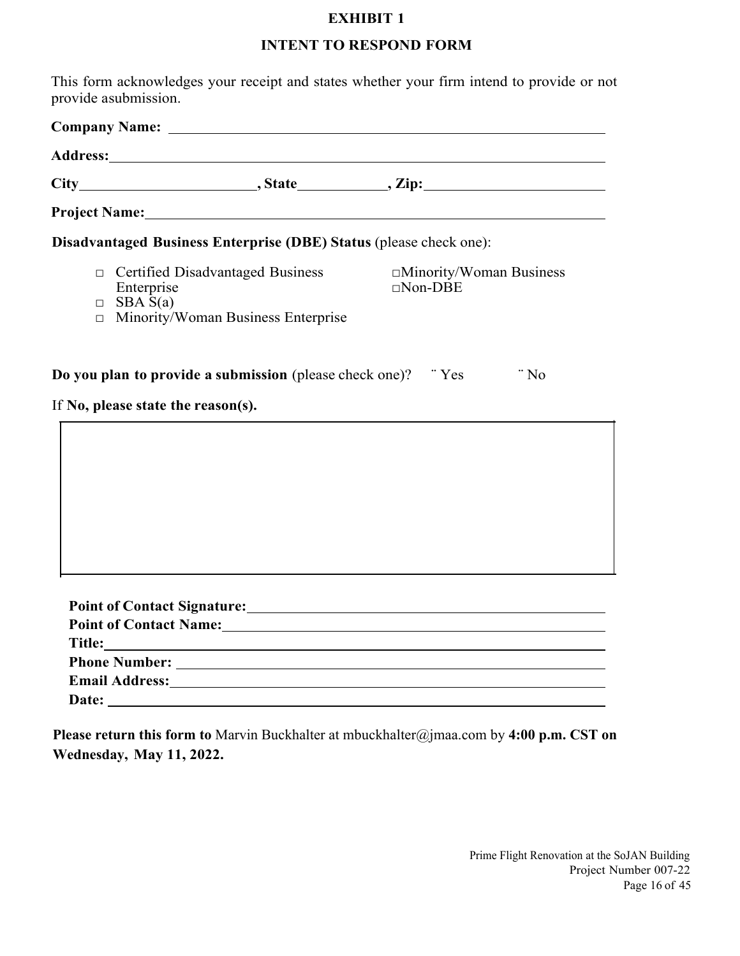#### **INTENT TO RESPOND FORM**

This form acknowledges your receipt and states whether your firm intend to provide or not provide a submission.

| Disadvantaged Business Enterprise (DBE) Status (please check one):                                                                                                                                                             |                                            |
|--------------------------------------------------------------------------------------------------------------------------------------------------------------------------------------------------------------------------------|--------------------------------------------|
| □ Certified Disadvantaged Business<br>Enterprise<br>$\Box$ SBA S(a)<br>□ Minority/Woman Business Enterprise                                                                                                                    | □Minority/Woman Business<br>$\Box$ Non-DBE |
| <b>Do you plan to provide a submission</b> (please check one)? "Yes<br>If No, please state the reason(s).                                                                                                                      | $\cdot$ No                                 |
|                                                                                                                                                                                                                                |                                            |
|                                                                                                                                                                                                                                |                                            |
|                                                                                                                                                                                                                                |                                            |
|                                                                                                                                                                                                                                |                                            |
|                                                                                                                                                                                                                                |                                            |
|                                                                                                                                                                                                                                |                                            |
|                                                                                                                                                                                                                                |                                            |
|                                                                                                                                                                                                                                |                                            |
|                                                                                                                                                                                                                                |                                            |
|                                                                                                                                                                                                                                |                                            |
| Email Address: No. 2014 19:30 No. 2014 19:30 No. 2014 19:30 No. 2014 19:30 No. 2014 19:30 No. 2014 19:30 No. 2014 19:30 No. 2014 19:30 No. 2014 19:30 No. 2014 19:30 No. 2014 19:30 No. 2014 19:30 No. 2014 19:30 No. 2014 19: |                                            |
|                                                                                                                                                                                                                                |                                            |

**Please return this form to** Marvin Buckhalter at mbuckhalter@jmaa.com by **4:00 p.m. CST on Wednesday, May 11, 2022.**

> Prime Flight Renovation at the SoJAN Building Project Number 007-22 Page 16 of 45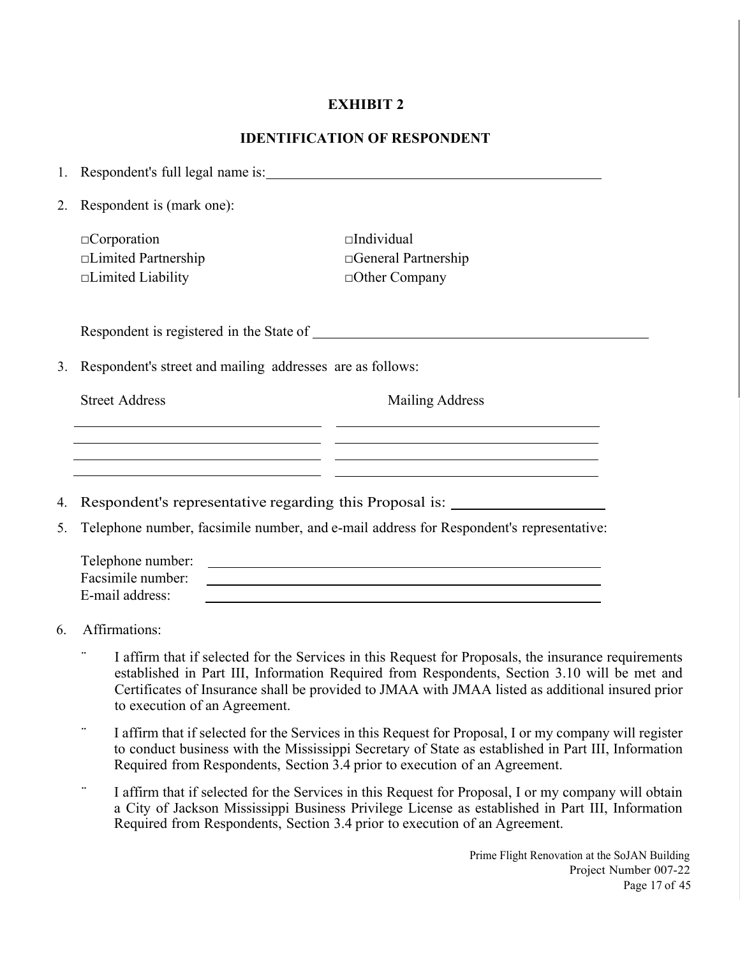#### **IDENTIFICATION OF RESPONDENT**

|    | 1. Respondent's full legal name is:                       |                                                                                                                                                                                            |
|----|-----------------------------------------------------------|--------------------------------------------------------------------------------------------------------------------------------------------------------------------------------------------|
| 2. | Respondent is (mark one):                                 |                                                                                                                                                                                            |
|    | $\Box$ Corporation                                        | $\Box$ Individual                                                                                                                                                                          |
|    | □Limited Partnership                                      | $\Box$ General Partnership                                                                                                                                                                 |
|    | $\Box$ Limited Liability                                  | $\Box$ Other Company                                                                                                                                                                       |
|    |                                                           |                                                                                                                                                                                            |
| 3. | Respondent's street and mailing addresses are as follows: |                                                                                                                                                                                            |
|    | <b>Street Address</b>                                     | <b>Mailing Address</b><br><u> 1990 - Jan James James James James James James James James James James James James James James James James J</u>                                             |
|    |                                                           | <u> 1989 - Andrea Santa Andrea Andrea Andrea Andrea Andrea Andrea Andrea Andrea Andrea Andrea Andrea Andrea Andr</u><br><u> 1989 - Andrea Santa Alemania, amerikan personal (h. 1989).</u> |
| 4. |                                                           | Respondent's representative regarding this Proposal is: ________________________                                                                                                           |
| 5. |                                                           | Telephone number, facsimile number, and e-mail address for Respondent's representative:                                                                                                    |
|    |                                                           |                                                                                                                                                                                            |
|    | Telephone number:                                         | <u> 1989 - Johann Harry Harry Harry Harry Harry Harry Harry Harry Harry Harry Harry Harry Harry Harry Harry Harry</u>                                                                      |
|    | Facsimile number:<br>E-mail address:                      |                                                                                                                                                                                            |

- 6. Affirmations:
	- ¨ I affirm that if selected for the Services in this Request for Proposals, the insurance requirements established in Part III, Information Required from Respondents, Section 3.10 will be met and Certificates of Insurance shall be provided to JMAA with JMAA listed as additional insured prior to execution of an Agreement.
	- ¨ I affirm that if selected for the Services in this Request for Proposal, I or my company will register to conduct business with the Mississippi Secretary of State as established in Part III, Information Required from Respondents, Section 3.4 prior to execution of an Agreement.
	- ¨ I affirm that if selected for the Services in this Request for Proposal, I or my company will obtain a City of Jackson Mississippi Business Privilege License as established in Part III, Information Required from Respondents, Section 3.4 prior to execution of an Agreement.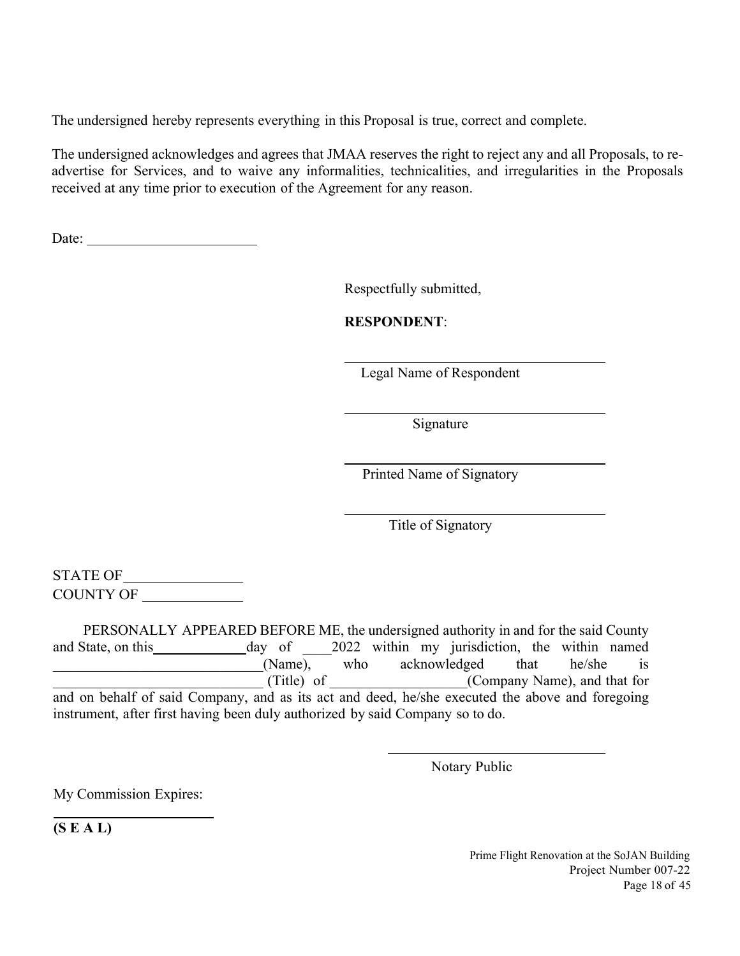The undersigned hereby represents everything in this Proposal is true, correct and complete.

The undersigned acknowledges and agrees that JMAA reserves the right to reject any and all Proposals, to readvertise for Services, and to waive any informalities, technicalities, and irregularities in the Proposals received at any time prior to execution of the Agreement for any reason.

Date: the contract of the contract of the contract of the contract of the contract of the contract of the contract of the contract of the contract of the contract of the contract of the contract of the contract of the cont

Respectfully submitted,

**RESPONDENT**:

Legal Name of Respondent

Signature

Printed Name of Signatory

Title of Signatory

STATE OF COUNTY OF

 PERSONALLY APPEARED BEFORE ME, the undersigned authority in and for the said County and State, on this day of 2022 within my jurisdiction, the within named (Name), who acknowledged that he/she is \_\_\_\_\_\_\_\_\_\_\_\_\_\_\_\_\_\_\_\_\_\_\_\_\_\_\_\_\_ (Title) of \_\_\_\_\_\_\_\_\_\_\_\_\_\_\_\_\_\_\_(Company Name), and that for and on behalf of said Company, and as its act and deed, he/she executed the above and foregoing instrument, after first having been duly authorized by said Company so to do.

Notary Public

My Commission Expires:

**(S E A L)** 

 $\overline{a}$ 

 Prime Flight Renovation at the SoJAN Building Project Number 007-22 Page 18 of 45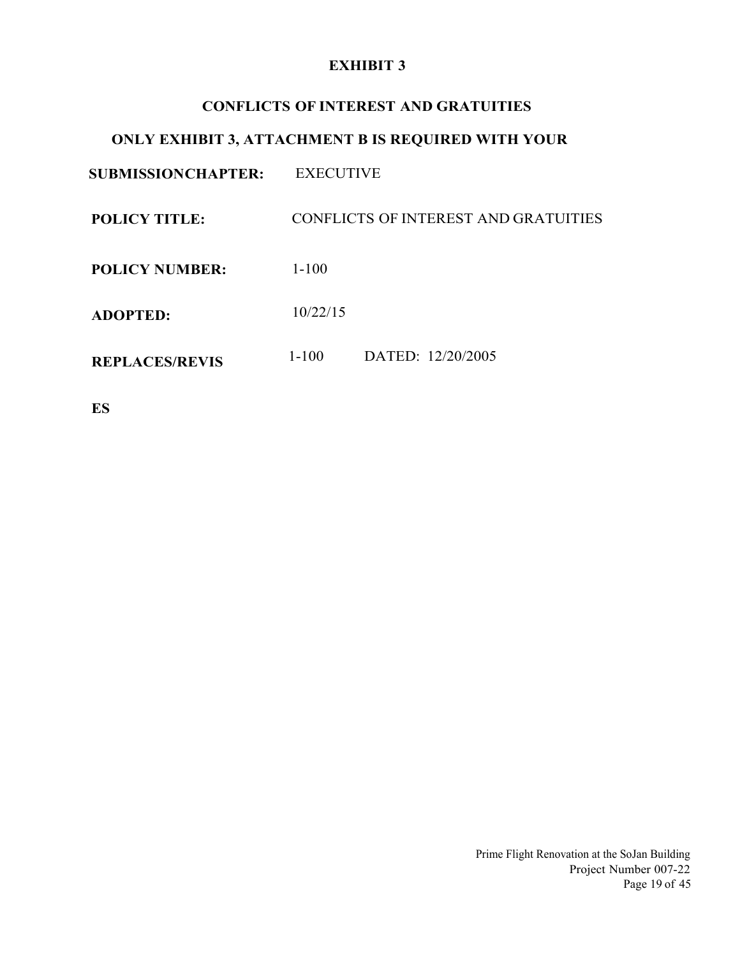#### **CONFLICTS OF INTEREST AND GRATUITIES**

## **ONLY EXHIBIT 3, ATTACHMENT B IS REQUIRED WITH YOUR**

**SUBMISSION CHAPTER:** EXECUTIVE

**POLICY TITLE:** CONFLICTS OF INTEREST AND GRATUITIES

**POLICY NUMBER:**  1-100

**ADOPTED:**  10/22/15

**REPLACES/REVIS** 1-100 DATED: 12/20/2005

**ES** 

Prime Flight Renovation at the SoJan Building Project Number 007-22 Page 19 of 45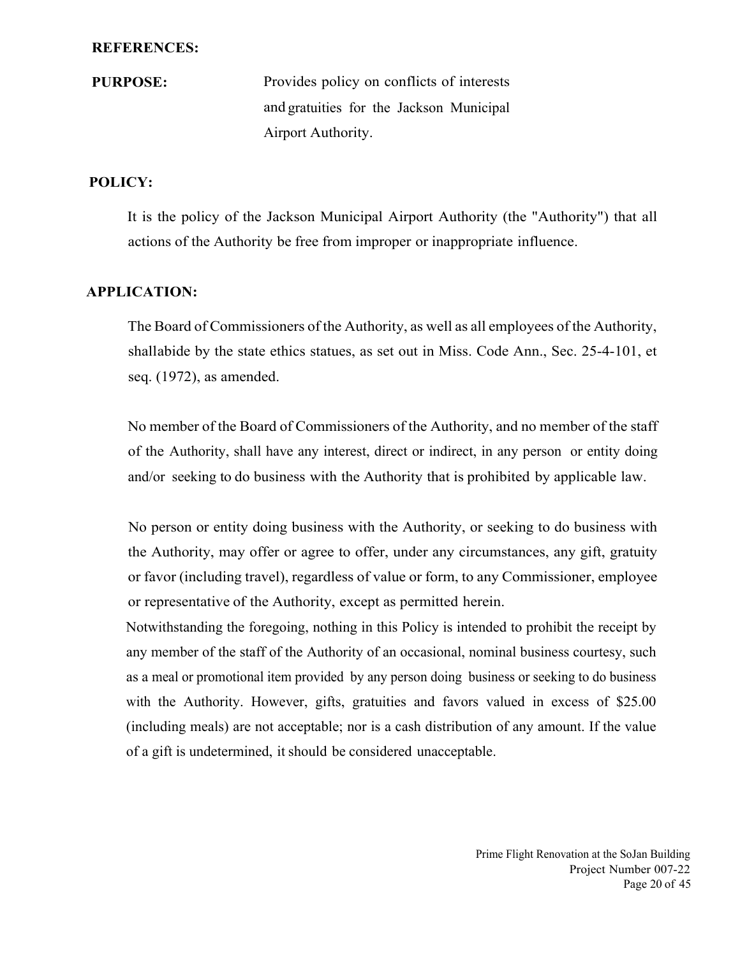#### **REFERENCES:**

**PURPOSE:** Provides policy on conflicts of interests and gratuities for the Jackson Municipal Airport Authority.

#### **POLICY:**

It is the policy of the Jackson Municipal Airport Authority (the "Authority") that all actions of the Authority be free from improper or inappropriate influence.

#### **APPLICATION:**

The Board of Commissioners of the Authority, as well as all employees of the Authority, shall abide by the state ethics statues, as set out in Miss. Code Ann., Sec. 25-4-101, et seq. (1972), as amended.

No member of the Board of Commissioners of the Authority, and no member of the staff of the Authority, shall have any interest, direct or indirect, in any person or entity doing and/or seeking to do business with the Authority that is prohibited by applicable law.

No person or entity doing business with the Authority, or seeking to do business with the Authority, may offer or agree to offer, under any circumstances, any gift, gratuity or favor (including travel), regardless of value or form, to any Commissioner, employee or representative of the Authority, except as permitted herein.

Notwithstanding the foregoing, nothing in this Policy is intended to prohibit the receipt by any member of the staff of the Authority of an occasional, nominal business courtesy, such as a meal or promotional item provided by any person doing business or seeking to do business with the Authority. However, gifts, gratuities and favors valued in excess of \$25.00 (including meals) are not acceptable; nor is a cash distribution of any amount. If the value of a gift is undetermined, it should be considered unacceptable.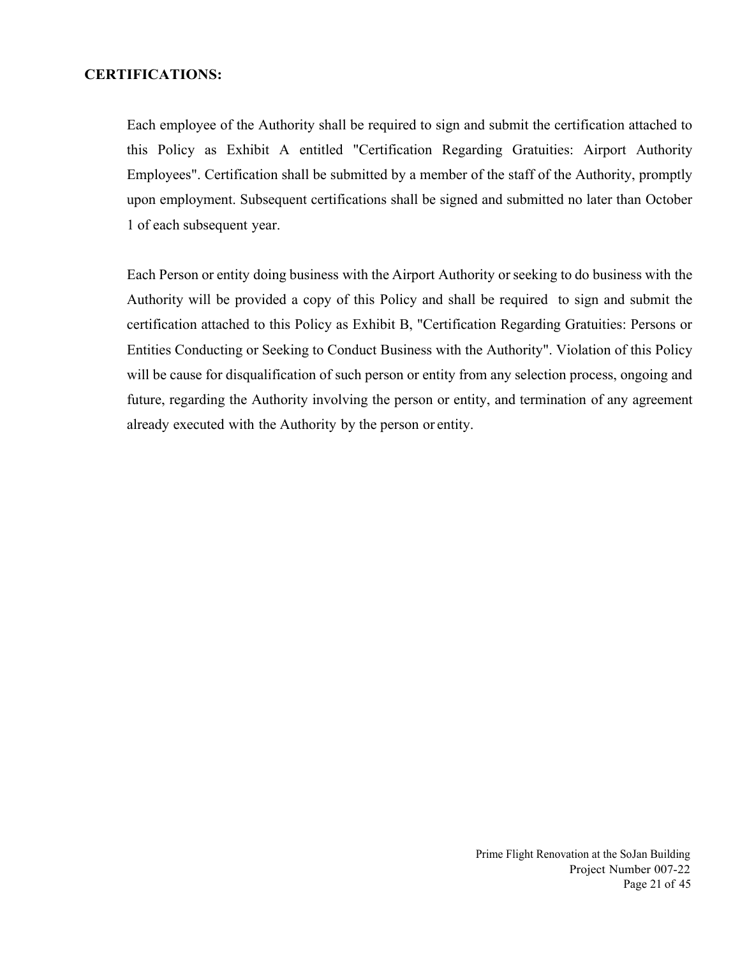#### **CERTIFICATIONS:**

Each employee of the Authority shall be required to sign and submit the certification attached to this Policy as Exhibit A entitled "Certification Regarding Gratuities: Airport Authority Employees". Certification shall be submitted by a member of the staff of the Authority, promptly upon employment. Subsequent certifications shall be signed and submitted no later than October 1 of each subsequent year.

Each Person or entity doing business with the Airport Authority or seeking to do business with the Authority will be provided a copy of this Policy and shall be required to sign and submit the certification attached to this Policy as Exhibit B, "Certification Regarding Gratuities: Persons or Entities Conducting or Seeking to Conduct Business with the Authority". Violation of this Policy will be cause for disqualification of such person or entity from any selection process, ongoing and future, regarding the Authority involving the person or entity, and termination of any agreement already executed with the Authority by the person or entity.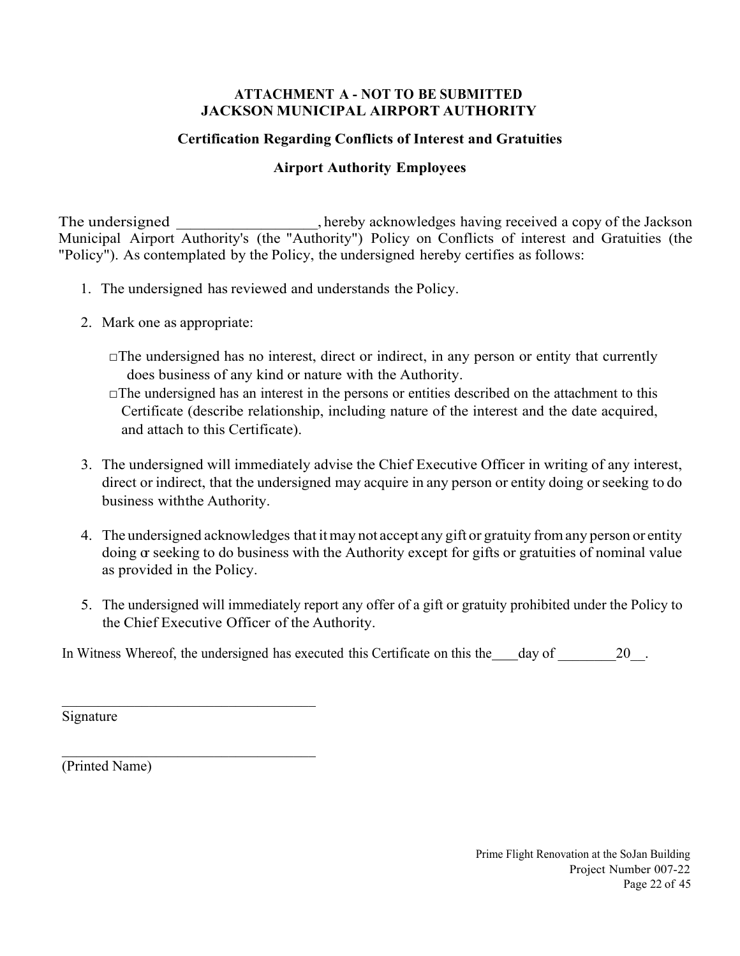#### **ATTACHMENT A - NOT TO BE SUBMITTED JACKSON MUNICIPAL AIRPORT AUTHORITY**

## **Certification Regarding Conflicts of Interest and Gratuities**

## **Airport Authority Employees**

The undersigned \_\_\_\_\_\_\_\_\_\_\_\_\_, hereby acknowledges having received a copy of the Jackson Municipal Airport Authority's (the "Authority") Policy on Conflicts of interest and Gratuities (the "Policy"). As contemplated by the Policy, the undersigned hereby certifies as follows:

- 1. The undersigned has reviewed and understands the Policy.
- 2. Mark one as appropriate:
	- $\Box$ The undersigned has no interest, direct or indirect, in any person or entity that currently does business of any kind or nature with the Authority.
	- $\Box$ The undersigned has an interest in the persons or entities described on the attachment to this Certificate (describe relationship, including nature of the interest and the date acquired, and attach to this Certificate).
- 3. The undersigned will immediately advise the Chief Executive Officer in writing of any interest, direct or indirect, that the undersigned may acquire in any person or entity doing or seeking to do business with the Authority.
- 4. The undersigned acknowledges that it may not accept any gift or gratuity from any person or entity doing  $\alpha$  seeking to do business with the Authority except for gifts or gratuities of nominal value as provided in the Policy.
- 5. The undersigned will immediately report any offer of a gift or gratuity prohibited under the Policy to the Chief Executive Officer of the Authority.

In Witness Whereof, the undersigned has executed this Certificate on this the day of 20.

Signature

(Printed Name)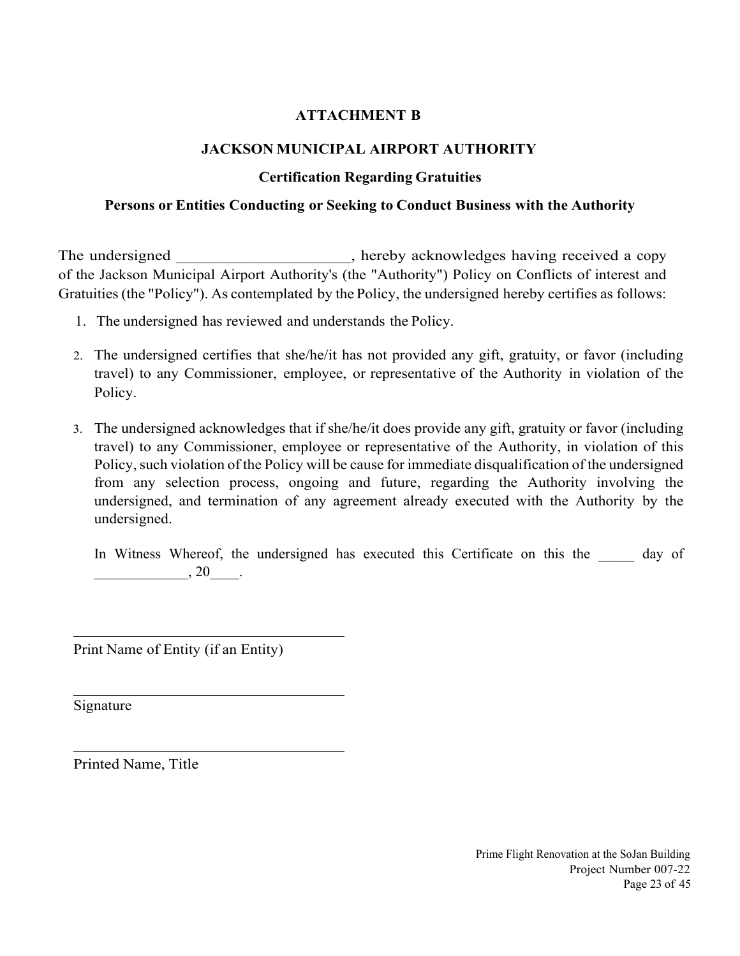## **ATTACHMENT B**

## **JACKSON MUNICIPAL AIRPORT AUTHORITY**

## **Certification Regarding Gratuities**

#### **Persons or Entities Conducting or Seeking to Conduct Business with the Authority**

The undersigned \_\_\_\_\_\_\_\_\_\_\_\_\_\_\_\_\_, hereby acknowledges having received a copy of the Jackson Municipal Airport Authority's (the "Authority") Policy on Conflicts of interest and Gratuities (the "Policy"). As contemplated by the Policy, the undersigned hereby certifies as follows:

- 1. The undersigned has reviewed and understands the Policy.
- 2. The undersigned certifies that she/he/it has not provided any gift, gratuity, or favor (including travel) to any Commissioner, employee, or representative of the Authority in violation of the Policy.
- 3. The undersigned acknowledges that if she/he/it does provide any gift, gratuity or favor (including travel) to any Commissioner, employee or representative of the Authority, in violation of this Policy, such violation of the Policy will be cause for immediate disqualification of the undersigned from any selection process, ongoing and future, regarding the Authority involving the undersigned, and termination of any agreement already executed with the Authority by the undersigned.

In Witness Whereof, the undersigned has executed this Certificate on this the day of  $, 20$ .

Print Name of Entity (if an Entity)

Signature

 $\overline{a}$ 

 $\overline{a}$ 

l

Printed Name, Title

Prime Flight Renovation at the SoJan Building Project Number 007-22 Page 23 of 45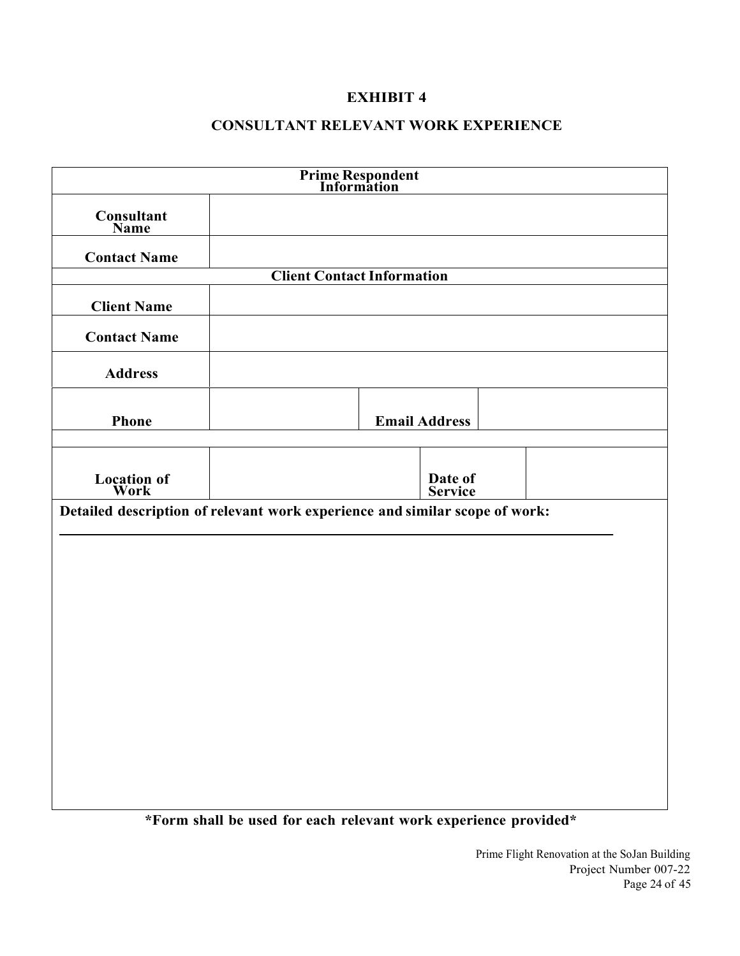## **CONSULTANT RELEVANT WORK EXPERIENCE**

|                                                                             | <b>Prime Respondent<br/>Information</b>                             |                      |
|-----------------------------------------------------------------------------|---------------------------------------------------------------------|----------------------|
| <b>Consultant</b><br>Name                                                   |                                                                     |                      |
| <b>Contact Name</b>                                                         |                                                                     |                      |
|                                                                             | <b>Client Contact Information</b>                                   |                      |
| <b>Client Name</b>                                                          |                                                                     |                      |
| <b>Contact Name</b>                                                         |                                                                     |                      |
| <b>Address</b>                                                              |                                                                     |                      |
| <b>Phone</b>                                                                |                                                                     | <b>Email Address</b> |
| <b>Location of</b><br>Work                                                  |                                                                     | Date of<br>Service   |
| Detailed description of relevant work experience and similar scope of work: |                                                                     |                      |
|                                                                             |                                                                     |                      |
|                                                                             |                                                                     |                      |
|                                                                             |                                                                     |                      |
|                                                                             |                                                                     |                      |
|                                                                             |                                                                     |                      |
|                                                                             |                                                                     |                      |
|                                                                             |                                                                     |                      |
|                                                                             |                                                                     |                      |
|                                                                             | $*$ Equipped to used for each relevant work experience previded $*$ |                      |

**\*Form shall be used for each relevant work experience provided\***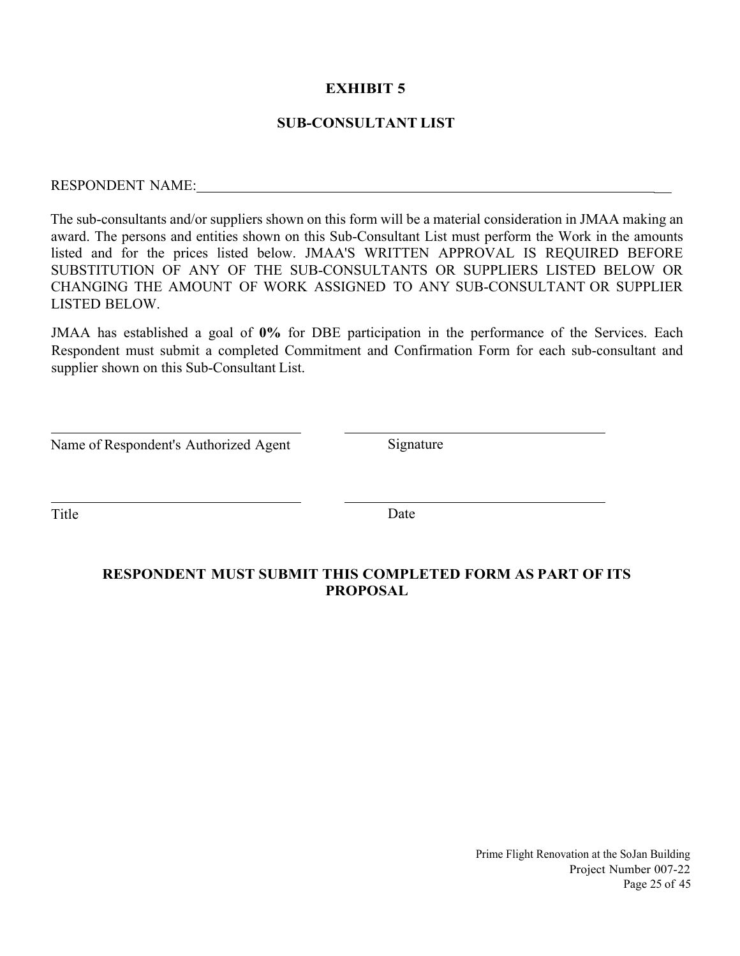#### **SUB-CONSULTANT LIST**

# RESPONDENT NAME: \_

The sub-consultants and/or suppliers shown on this form will be a material consideration in JMAA making an award. The persons and entities shown on this Sub-Consultant List must perform the Work in the amounts listed and for the prices listed below. JMAA'S WRITTEN APPROVAL IS REQUIRED BEFORE SUBSTITUTION OF ANY OF THE SUB-CONSULTANTS OR SUPPLIERS LISTED BELOW OR CHANGING THE AMOUNT OF WORK ASSIGNED TO ANY SUB-CONSULTANT OR SUPPLIER LISTED BELOW.

JMAA has established a goal of **0%** for DBE participation in the performance of the Services. Each Respondent must submit a completed Commitment and Confirmation Form for each sub-consultant and supplier shown on this Sub-Consultant List.

| Name of Respondent's Authorized Agent |  |  |
|---------------------------------------|--|--|
|---------------------------------------|--|--|

Signature

 $\overline{a}$ 

 $\overline{a}$ 

Title Date

#### **RESPONDENT MUST SUBMIT THIS COMPLETED FORM AS PART OF ITS PROPOSAL**

Prime Flight Renovation at the SoJan Building Project Number 007-22 Page 25 of 45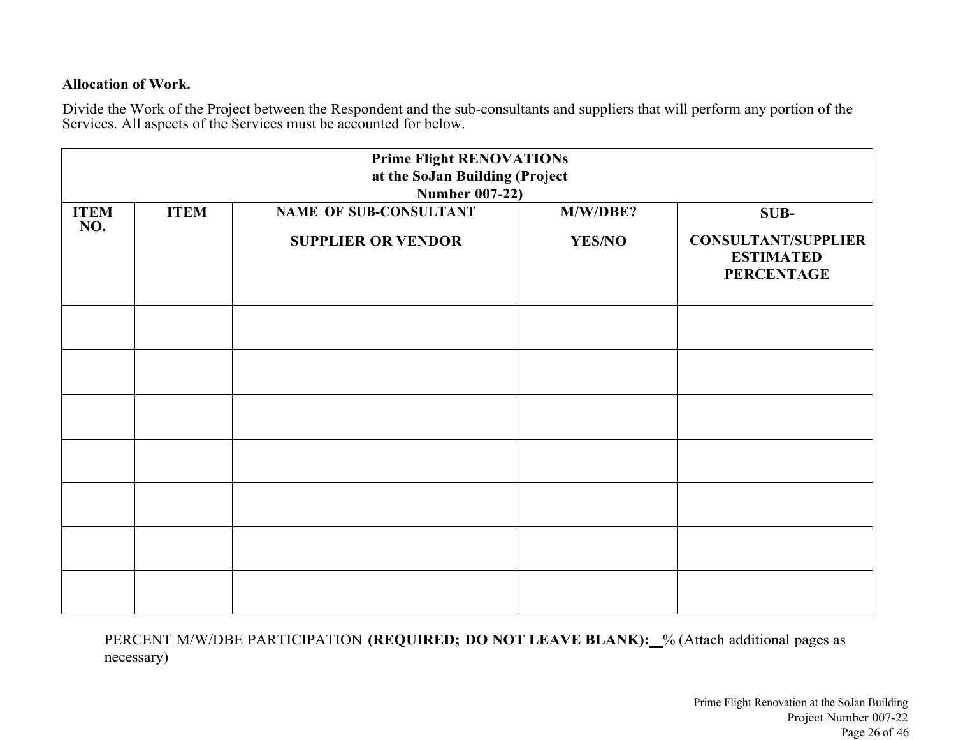#### **Allocation of Work.**

Divide the Work of the Project between the Respondent and the sub-consultants and suppliers that will perform any portion of the Services. All aspects of the Services must be accounted for below.

|                    |             | <b>Prime Flight RENOVATIONs</b><br>at the SoJan Building (Project<br><b>Number 007-22)</b> |                           |                                                                             |
|--------------------|-------------|--------------------------------------------------------------------------------------------|---------------------------|-----------------------------------------------------------------------------|
| <b>ITEM</b><br>NO. | <b>ITEM</b> | NAME OF SUB-CONSULTANT<br><b>SUPPLIER OR VENDOR</b>                                        | M/W/DBE?<br><b>YES/NO</b> | SUB-<br><b>CONSULTANT/SUPPLIER</b><br><b>ESTIMATED</b><br><b>PERCENTAGE</b> |
|                    |             |                                                                                            |                           |                                                                             |
|                    |             |                                                                                            |                           |                                                                             |
|                    |             |                                                                                            |                           |                                                                             |
|                    |             |                                                                                            |                           |                                                                             |
|                    |             |                                                                                            |                           |                                                                             |
|                    |             |                                                                                            |                           |                                                                             |
|                    |             |                                                                                            |                           |                                                                             |

PERCENT M/W/DBE PARTICIPATION (REQUIRED; DO NOT LEAVE BLANK):\_% (Attach additional pages as necessary)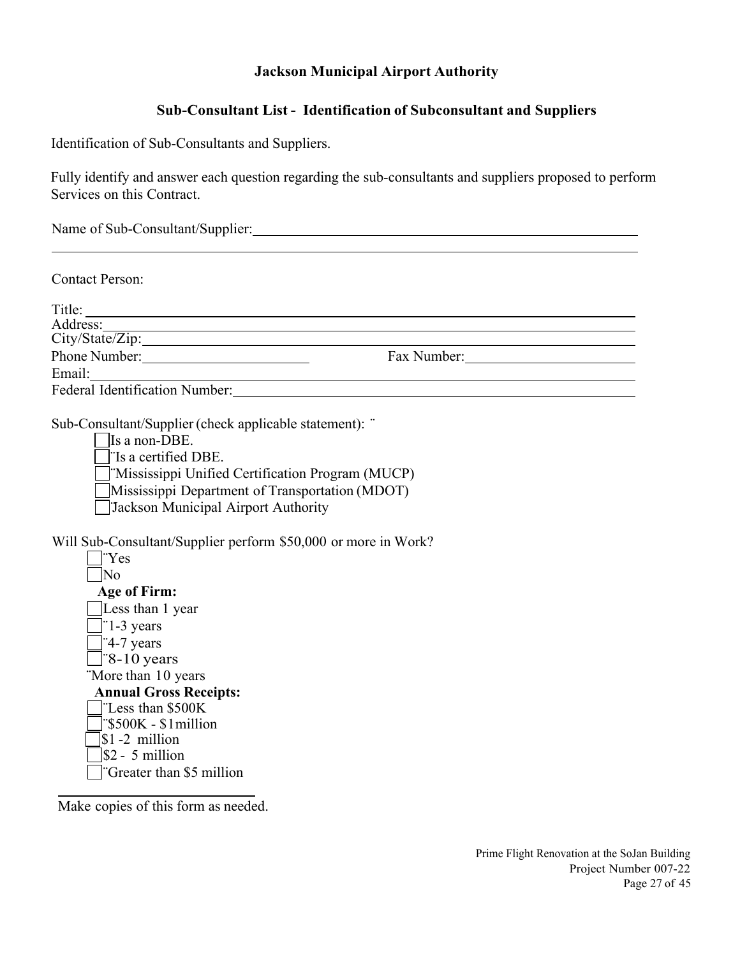#### **Jackson Municipal Airport Authority**

#### **Sub-Consultant List - Identification of Subconsultant and Suppliers**

Identification of Sub-Consultants and Suppliers.

Fully identify and answer each question regarding the sub-consultants and suppliers proposed to perform Services on this Contract.

Name of Sub-Consultant/Supplier: Manual Consultant of Sub-Consultant / Supplier:

Contact Person:

| Title:                                |             |  |
|---------------------------------------|-------------|--|
| Address:                              |             |  |
| City/State/Zip:                       |             |  |
| Phone Number:                         | Fax Number: |  |
| Email:                                |             |  |
| <b>Federal Identification Number:</b> |             |  |

Sub-Consultant/Supplier (check applicable statement): ¨

Is a non-DBE.

¨Is a certified DBE.

¨Mississippi Unified Certification Program (MUCP)

Mississippi Department of Transportation (MDOT)

¨Jackson Municipal Airport Authority

Will Sub-Consultant/Supplier perform \$50,000 or more in Work?

| 'Yes                                 |
|--------------------------------------|
| N٥                                   |
| <b>Age of Firm:</b>                  |
| Less than 1 year                     |
| $\parallel$ 1-3 years                |
| $\left  \frac{4-7}{1} \right $ years |
| $\degree$ 8-10 years                 |
| "More than 10 years"                 |
|                                      |
| <b>Annual Gross Receipts:</b>        |
| "Less than \$500K                    |
| $\degree$ \$500K - \$1 million       |
| $ 1 - 2$ million                     |
| $\$\frac{2}{3}$ - 5 million          |
| Greater than \$5 million             |

Make copies of this form as needed.

 $\overline{a}$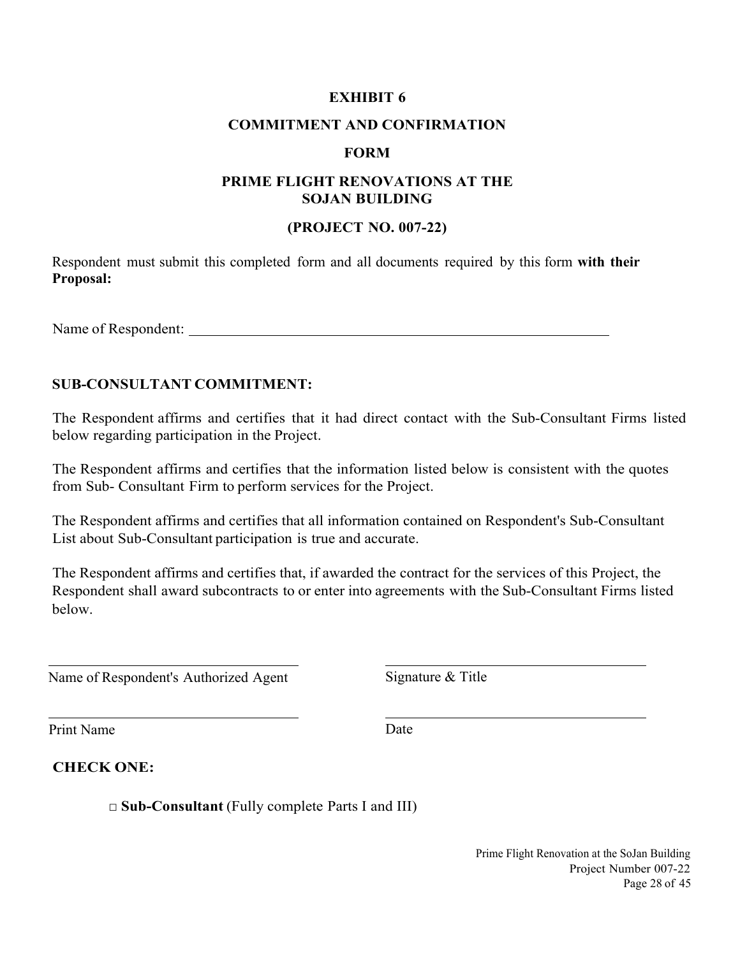#### **COMMITMENT AND CONFIRMATION**

#### **FORM**

#### **PRIME FLIGHT RENOVATIONS AT THE SOJAN BUILDING**

#### **(PROJECT NO. 007-22)**

Respondent must submit this completed form and all documents required by this form **with their Proposal:** 

Name of Respondent:

#### **SUB-CONSULTANT COMMITMENT:**

The Respondent affirms and certifies that it had direct contact with the Sub-Consultant Firms listed below regarding participation in the Project.

The Respondent affirms and certifies that the information listed below is consistent with the quotes from Sub- Consultant Firm to perform services for the Project.

The Respondent affirms and certifies that all information contained on Respondent's Sub-Consultant List about Sub-Consultant participation is true and accurate.

The Respondent affirms and certifies that, if awarded the contract for the services of this Project, the Respondent shall award subcontracts to or enter into agreements with the Sub-Consultant Firms listed below.

Name of Respondent's Authorized Agent Signature & Title

Print Name Date

 $\overline{a}$ 

**CHECK ONE:**

□ **Sub-Consultant** (Fully complete Parts I and III)

Prime Flight Renovation at the SoJan Building Project Number 007-22 Page 28 of 45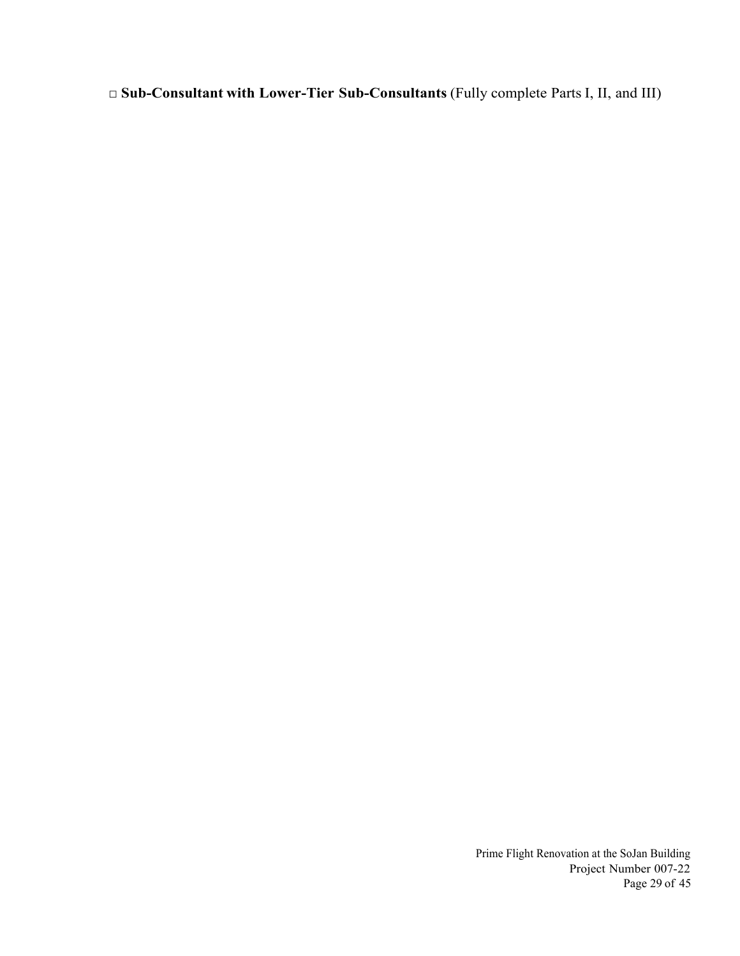□ **Sub-Consultant with Lower-Tier Sub-Consultants** (Fully complete Parts I, II, and III)

Prime Flight Renovation at the SoJan Building Project Number 007-22 Page 29 of 45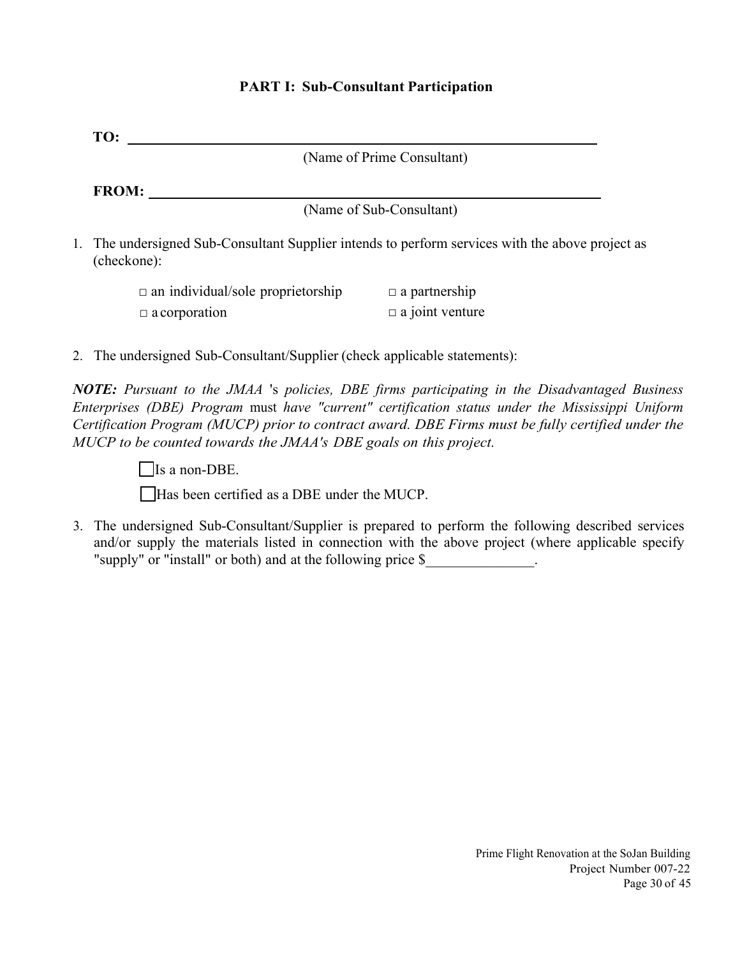| TO:                                                                                                                                                                                                                                                                                                                                                                               |  |
|-----------------------------------------------------------------------------------------------------------------------------------------------------------------------------------------------------------------------------------------------------------------------------------------------------------------------------------------------------------------------------------|--|
| (Name of Prime Consultant)                                                                                                                                                                                                                                                                                                                                                        |  |
| FROM:                                                                                                                                                                                                                                                                                                                                                                             |  |
| (Name of Sub-Consultant)                                                                                                                                                                                                                                                                                                                                                          |  |
| 1. The undersigned Sub-Consultant Supplier intends to perform services with the above project as<br>(checkone):                                                                                                                                                                                                                                                                   |  |
| $\Box$ a partnership<br>$\Box$ an individual/sole proprietorship                                                                                                                                                                                                                                                                                                                  |  |
| $\Box$ a joint venture<br>$\Box$ a corporation                                                                                                                                                                                                                                                                                                                                    |  |
| 2. The undersigned Sub-Consultant/Supplier (check applicable statements):                                                                                                                                                                                                                                                                                                         |  |
| <b>NOTE:</b> Pursuant to the JMAA 's policies, DBE firms participating in the Disadvantaged Business<br>Enterprises (DBE) Program must have "current" certification status under the Mississippi Uniform<br>Certification Program (MUCP) prior to contract award. DBE Firms must be fully certified under the<br>MUCP to be counted towards the JMAA's DBE goals on this project. |  |
| Is a non-DBE.                                                                                                                                                                                                                                                                                                                                                                     |  |
| Has been certified as a DBE under the MUCP.                                                                                                                                                                                                                                                                                                                                       |  |
| 3. The undersigned Sub-Consultant/Supplier is prepared to perform the following described services<br>and/or supply the materials listed in connection with the above project (where applicable specify<br>"supply" or "install" or both) and at the following price \$                                                                                                           |  |
|                                                                                                                                                                                                                                                                                                                                                                                   |  |
|                                                                                                                                                                                                                                                                                                                                                                                   |  |
|                                                                                                                                                                                                                                                                                                                                                                                   |  |
|                                                                                                                                                                                                                                                                                                                                                                                   |  |
|                                                                                                                                                                                                                                                                                                                                                                                   |  |
|                                                                                                                                                                                                                                                                                                                                                                                   |  |
|                                                                                                                                                                                                                                                                                                                                                                                   |  |
|                                                                                                                                                                                                                                                                                                                                                                                   |  |
|                                                                                                                                                                                                                                                                                                                                                                                   |  |

## **PART I: Sub-Consultant Participation**

Prime Flight Renovation at the SoJan Building Project Number 007-22 Page 30 of 45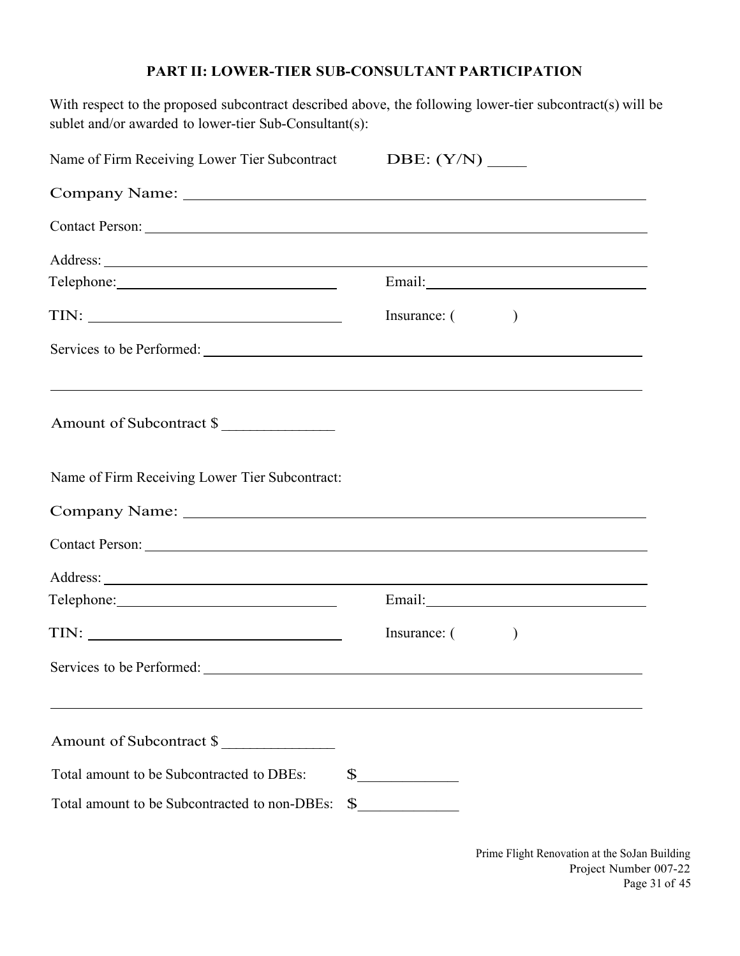#### **PART II: LOWER-TIER SUB-CONSULTANT PARTICIPATION**

With respect to the proposed subcontract described above, the following lower-tier subcontract(s) will be sublet and/or awarded to lower-tier Sub-Consultant(s):

| Name of Firm Receiving Lower Tier Subcontract DBE: (Y/N) _____ |                                                                                                                                                                                                                                                                                                                                                                                                                                                                             |         |  |
|----------------------------------------------------------------|-----------------------------------------------------------------------------------------------------------------------------------------------------------------------------------------------------------------------------------------------------------------------------------------------------------------------------------------------------------------------------------------------------------------------------------------------------------------------------|---------|--|
|                                                                |                                                                                                                                                                                                                                                                                                                                                                                                                                                                             |         |  |
| Contact Person: Note of the Contact Person:                    |                                                                                                                                                                                                                                                                                                                                                                                                                                                                             |         |  |
|                                                                |                                                                                                                                                                                                                                                                                                                                                                                                                                                                             |         |  |
|                                                                | $Email: \begin{tabular}{ c c c } \hline \multicolumn{3}{ c }{\textbf{Email:}} \hline \multicolumn{3}{ c }{\textbf{Mail:}} \hline \multicolumn{3}{ c }{\textbf{Mail:}} \hline \multicolumn{3}{ c }{\textbf{Mail:}} \hline \multicolumn{3}{ c }{\textbf{Mail:}} \hline \multicolumn{3}{ c }{\textbf{Mail:}} \hline \multicolumn{3}{ c }{\textbf{Mail:}} \hline \multicolumn{3}{ c }{\textbf{Mail:}} \hline \multicolumn{3}{ c }{\textbf{Mail:}} \hline \multicolumn{3}{ c }{$ |         |  |
|                                                                | Insurance: ()                                                                                                                                                                                                                                                                                                                                                                                                                                                               |         |  |
|                                                                |                                                                                                                                                                                                                                                                                                                                                                                                                                                                             |         |  |
| Amount of Subcontract \$                                       |                                                                                                                                                                                                                                                                                                                                                                                                                                                                             |         |  |
| Name of Firm Receiving Lower Tier Subcontract:                 |                                                                                                                                                                                                                                                                                                                                                                                                                                                                             |         |  |
|                                                                |                                                                                                                                                                                                                                                                                                                                                                                                                                                                             |         |  |
|                                                                |                                                                                                                                                                                                                                                                                                                                                                                                                                                                             |         |  |
|                                                                |                                                                                                                                                                                                                                                                                                                                                                                                                                                                             |         |  |
|                                                                | Email:                                                                                                                                                                                                                                                                                                                                                                                                                                                                      |         |  |
|                                                                | Insurance: (                                                                                                                                                                                                                                                                                                                                                                                                                                                                | $\big)$ |  |
|                                                                |                                                                                                                                                                                                                                                                                                                                                                                                                                                                             |         |  |
| Amount of Subcontract \$                                       |                                                                                                                                                                                                                                                                                                                                                                                                                                                                             |         |  |
| Total amount to be Subcontracted to DBEs:                      | $\frac{\text{S}}{\text{S}}$                                                                                                                                                                                                                                                                                                                                                                                                                                                 |         |  |
| Total amount to be Subcontracted to non-DBEs:                  | $\begin{picture}(20,20) \put(0,0){\vector(1,0){100}} \put(15,0){\vector(1,0){100}} \put(15,0){\vector(1,0){100}} \put(15,0){\vector(1,0){100}} \put(15,0){\vector(1,0){100}} \put(15,0){\vector(1,0){100}} \put(15,0){\vector(1,0){100}} \put(15,0){\vector(1,0){100}} \put(15,0){\vector(1,0){100}} \put(15,0){\vector(1,0){100}} \put(15,0){\vector(1,0){100}} \$                                                                                                         |         |  |

Prime Flight Renovation at the SoJan Building Project Number 007-22 Page 31 of 45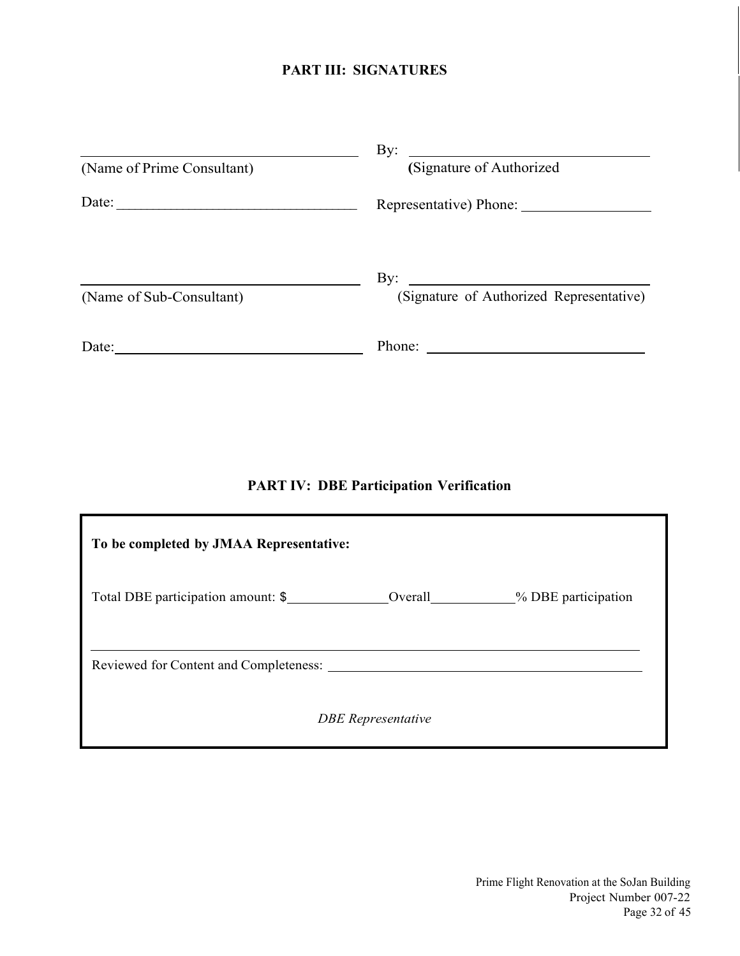## **PART III: SIGNATURES**

|                            | By:<br><u> 1980 - Andrea Station Barbara, amerikan per</u>      |
|----------------------------|-----------------------------------------------------------------|
| (Name of Prime Consultant) | (Signature of Authorized                                        |
| Date:                      | Representative) Phone:                                          |
|                            | $\mathbf{By:}$<br><u> 1980 - Jan Samuel Barbara, martin di</u>  |
| (Name of Sub-Consultant)   | (Signature of Authorized Representative)                        |
| Date:                      | Phone:<br><u> 1989 - Andrea Stadt Britain, fransk politik (</u> |

## **PART IV: DBE Participation Verification**

| To be completed by JMAA Representative:       |                           |                                       |
|-----------------------------------------------|---------------------------|---------------------------------------|
| Total DBE participation amount: \$            |                           | Overall___________% DBE participation |
| Reviewed for Content and Completeness: ______ |                           |                                       |
|                                               | <b>DBE</b> Representative |                                       |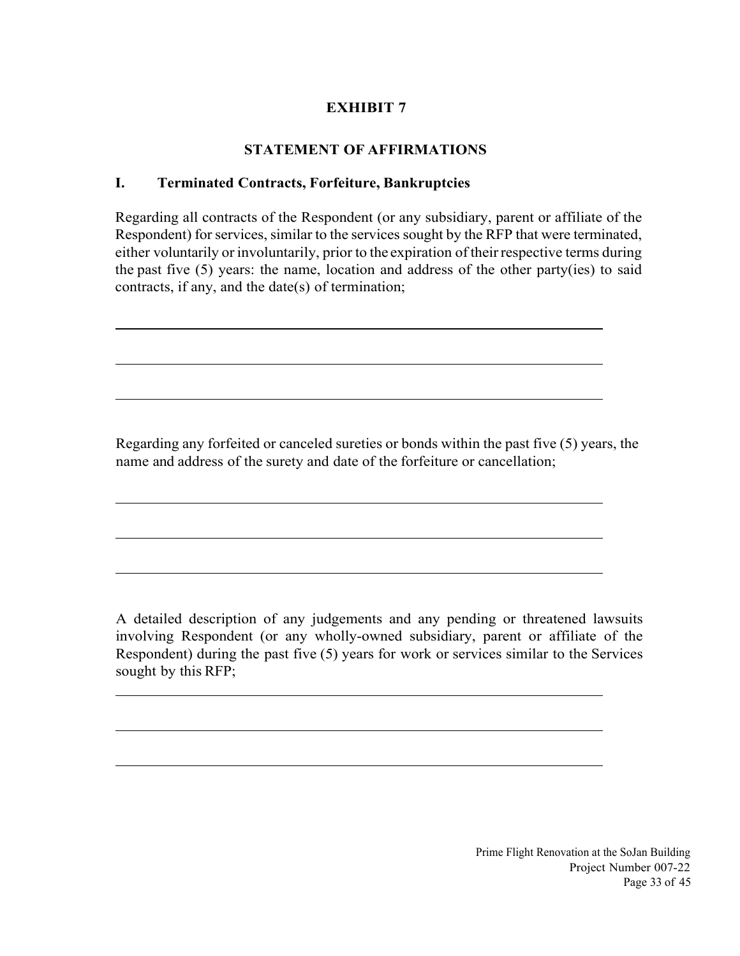## **STATEMENT OF AFFIRMATIONS**

## **I. Terminated Contracts, Forfeiture, Bankruptcies**

 $\overline{\phantom{a}}$ 

l

 $\overline{\phantom{a}}$ 

l

 $\overline{\phantom{a}}$ 

 $\overline{\phantom{a}}$ 

 $\overline{\phantom{a}}$ 

Regarding all contracts of the Respondent (or any subsidiary, parent or affiliate of the Respondent) for services, similar to the services sought by the RFP that were terminated, either voluntarily or involuntarily, prior to the expiration of their respective terms during the past five (5) years: the name, location and address of the other party(ies) to said contracts, if any, and the date(s) of termination;

Regarding any forfeited or canceled sureties or bonds within the past five (5) years, the name and address of the surety and date of the forfeiture or cancellation;

A detailed description of any judgements and any pending or threatened lawsuits involving Respondent (or any wholly-owned subsidiary, parent or affiliate of the Respondent) during the past five (5) years for work or services similar to the Services sought by this RFP;

> Prime Flight Renovation at the SoJan Building Project Number 007-22 Page 33 of 45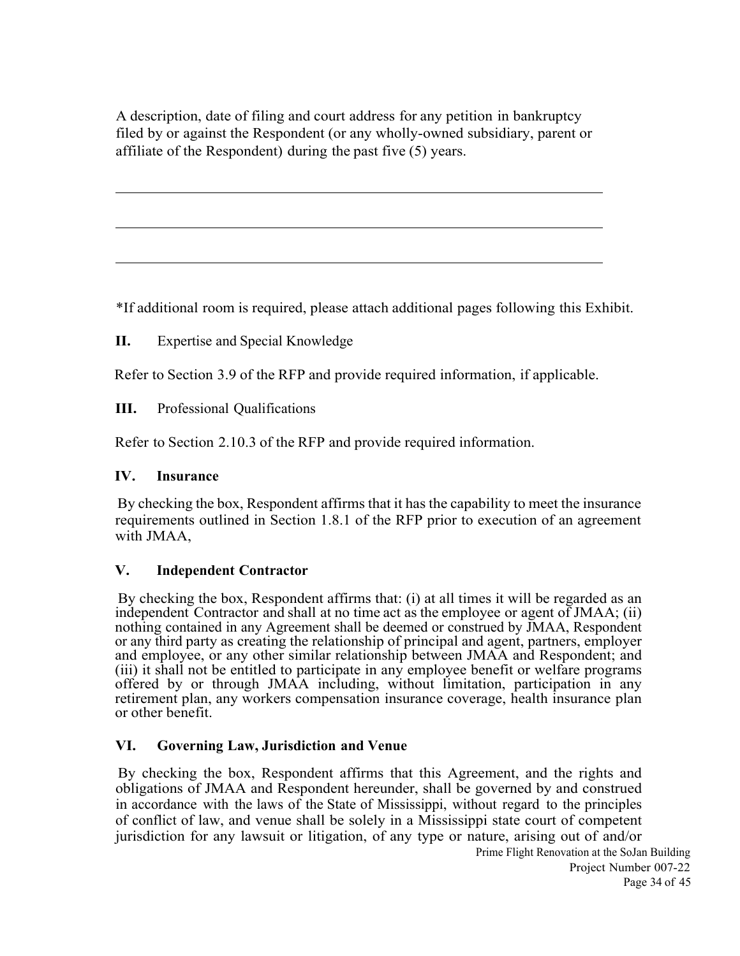A description, date of filing and court address for any petition in bankruptcy filed by or against the Respondent (or any wholly-owned subsidiary, parent or affiliate of the Respondent) during the past five (5) years.

\*If additional room is required, please attach additional pages following this Exhibit.

**II.** Expertise and Special Knowledge

Refer to Section 3.9 of the RFP and provide required information, if applicable.

**III.** Professional Qualifications

Refer to Section 2.10.3 of the RFP and provide required information.

#### **IV. Insurance**

 $\overline{\phantom{a}}$ 

l

l

 By checking the box, Respondent affirms that it has the capability to meet the insurance requirements outlined in Section 1.8.1 of the RFP prior to execution of an agreement with JMAA,

#### **V. Independent Contractor**

 By checking the box, Respondent affirms that: (i) at all times it will be regarded as an independent Contractor and shall at no time act as the employee or agent of JMAA; (ii) nothing contained in any Agreement shall be deemed or construed by JMAA, Respondent or any third party as creating the relationship of principal and agent, partners, employer and employee, or any other similar relationship between JMAA and Respondent; and (iii) it shall not be entitled to participate in any employee benefit or welfare programs offered by or through JMAA including, without limitation, participation in any retirement plan, any workers compensation insurance coverage, health insurance plan or other benefit.

#### **VI. Governing Law, Jurisdiction and Venue**

 By checking the box, Respondent affirms that this Agreement, and the rights and obligations of JMAA and Respondent hereunder, shall be governed by and construed in accordance with the laws of the State of Mississippi, without regard to the principles of conflict of law, and venue shall be solely in a Mississippi state court of competent jurisdiction for any lawsuit or litigation, of any type or nature, arising out of and/or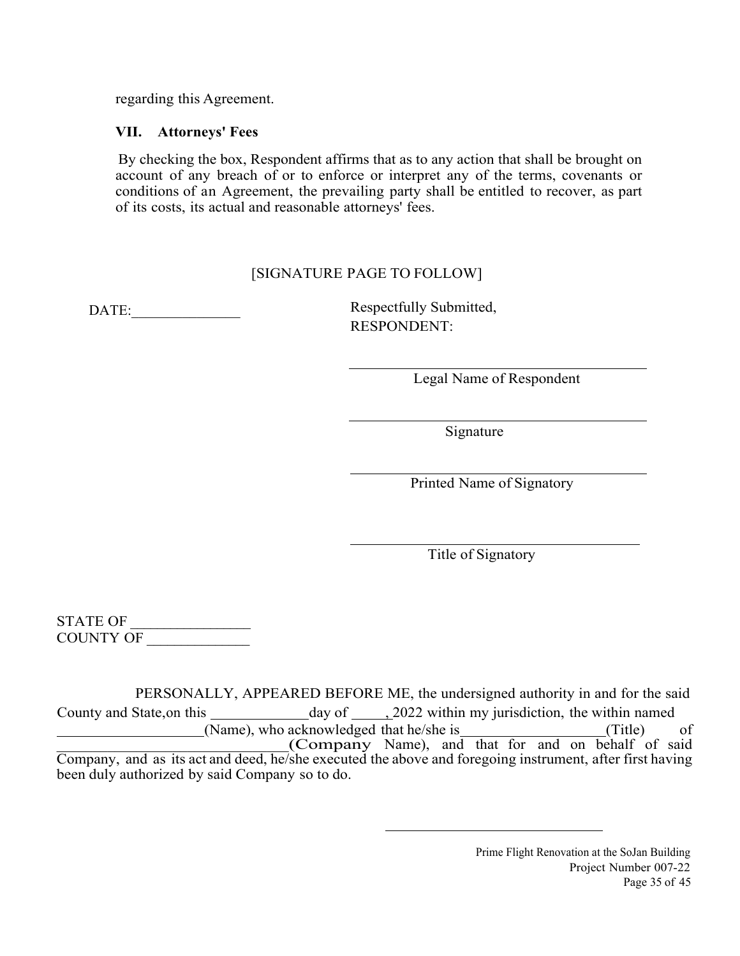regarding this Agreement.

#### **VII. Attorneys' Fees**

 By checking the box, Respondent affirms that as to any action that shall be brought on account of any breach of or to enforce or interpret any of the terms, covenants or conditions of an Agreement, the prevailing party shall be entitled to recover, as part of its costs, its actual and reasonable attorneys' fees.

## [SIGNATURE PAGE TO FOLLOW]

DATE: Respectfully Submitted, RESPONDENT:

Legal Name of Respondent

Signature

Printed Name of Signatory

Title of Signatory

STATE OF COUNTY OF \_\_\_\_\_\_\_\_\_\_\_\_\_\_\_

 PERSONALLY, APPEARED BEFORE ME, the undersigned authority in and for the said County and State, on this day of , 2022 within my jurisdiction, the within named (Name), who acknowledged that he/she is (Title) of Company Name), and that for and on behalf of said Company, and as its act and deed, he/she executed the above and foregoing instrument, after first having been duly authorized by said Company so to do.

> Prime Flight Renovation at the SoJan Building Project Number 007-22 Page 35 of 45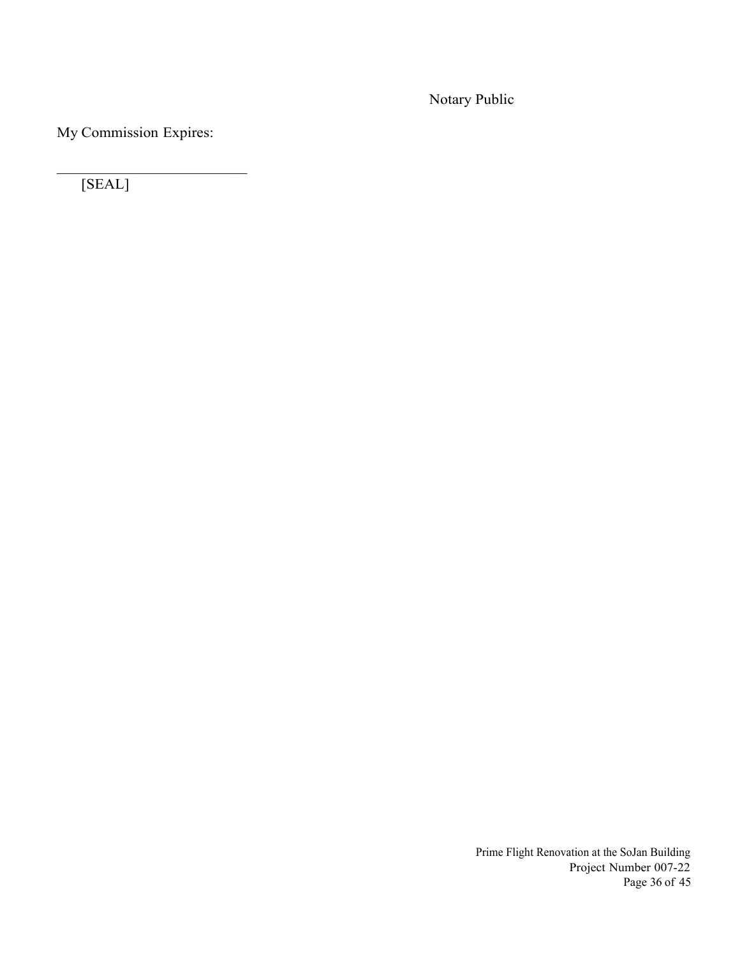Notary Public

My Commission Expires:

[SEAL]

Prime Flight Renovation at the SoJan Building Project Number 007-22 Page 36 of 45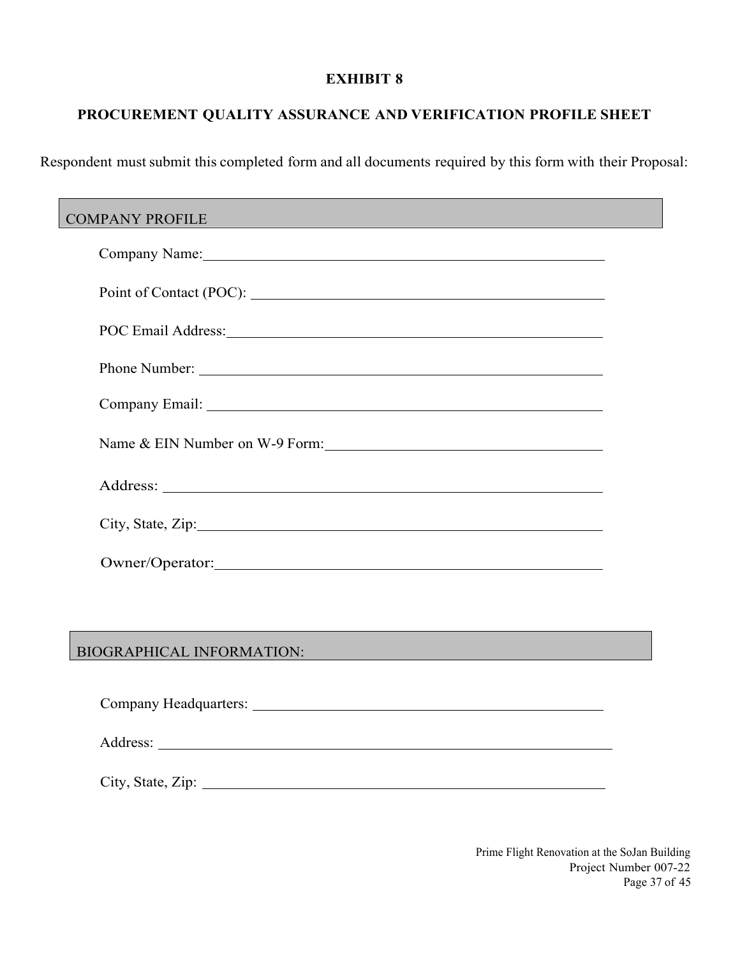## **PROCUREMENT QUALITY ASSURANCE AND VERIFICATION PROFILE SHEET**

Respondent must submit this completed form and all documents required by this form with their Proposal:

| <b>COMPANY PROFILE</b>                                                                                                                                   |  |  |  |
|----------------------------------------------------------------------------------------------------------------------------------------------------------|--|--|--|
| Company Name: 1988 Company Name:                                                                                                                         |  |  |  |
|                                                                                                                                                          |  |  |  |
|                                                                                                                                                          |  |  |  |
| Phone Number:                                                                                                                                            |  |  |  |
|                                                                                                                                                          |  |  |  |
| Name & EIN Number on W-9 Form:                                                                                                                           |  |  |  |
|                                                                                                                                                          |  |  |  |
| City, State, Zip: 2008. Experience of the State of Table 2014.                                                                                           |  |  |  |
| Owner/Operator: New York 1988                                                                                                                            |  |  |  |
|                                                                                                                                                          |  |  |  |
| <b>BIOGRAPHICAL INFORMATION:</b><br><u> 1989 - Johann Stein, marwolaethau a bhann an t-Amhair an t-Amhair an t-Amhair an t-Amhair an t-Amhair an t-A</u> |  |  |  |
|                                                                                                                                                          |  |  |  |

City, State, Zip:

Address:

Prime Flight Renovation at the SoJan Building Project Number 007-22 Page 37 of 45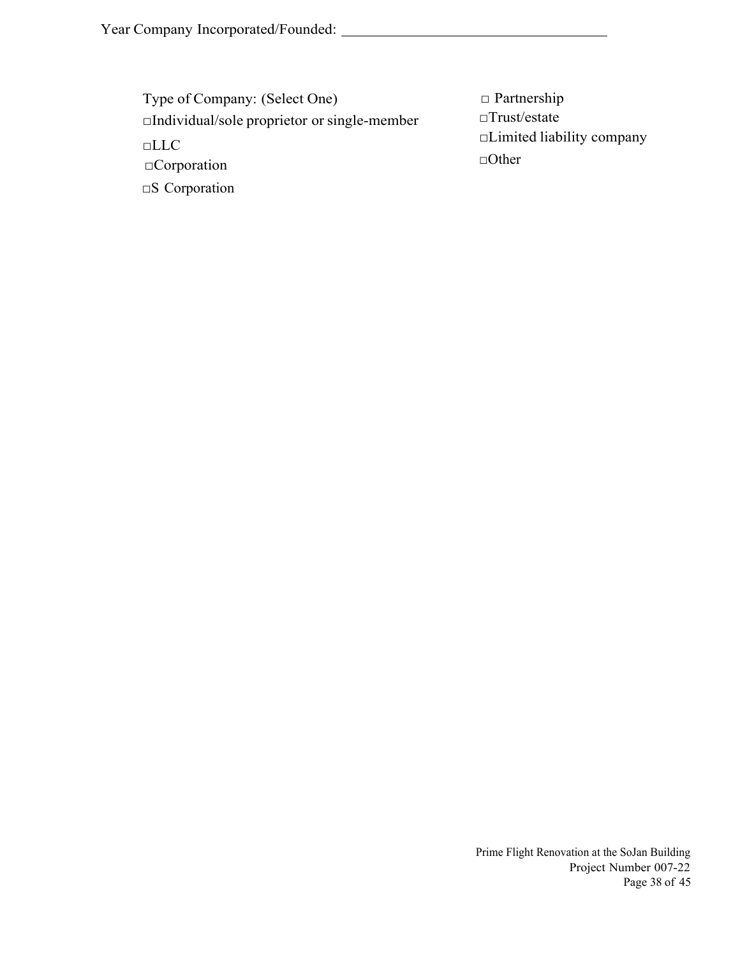| Type of Company: (Select One)                      | $\Box$ Partnership                               |
|----------------------------------------------------|--------------------------------------------------|
| $\Box$ Individual/sole proprietor or single-member | $\Box$ Trust/estate                              |
| $\Box$ LLC<br>$\Box$ Corporation                   | $\Box$ Limited liability company<br>$\Box$ Other |
| $\square$ S Corporation                            |                                                  |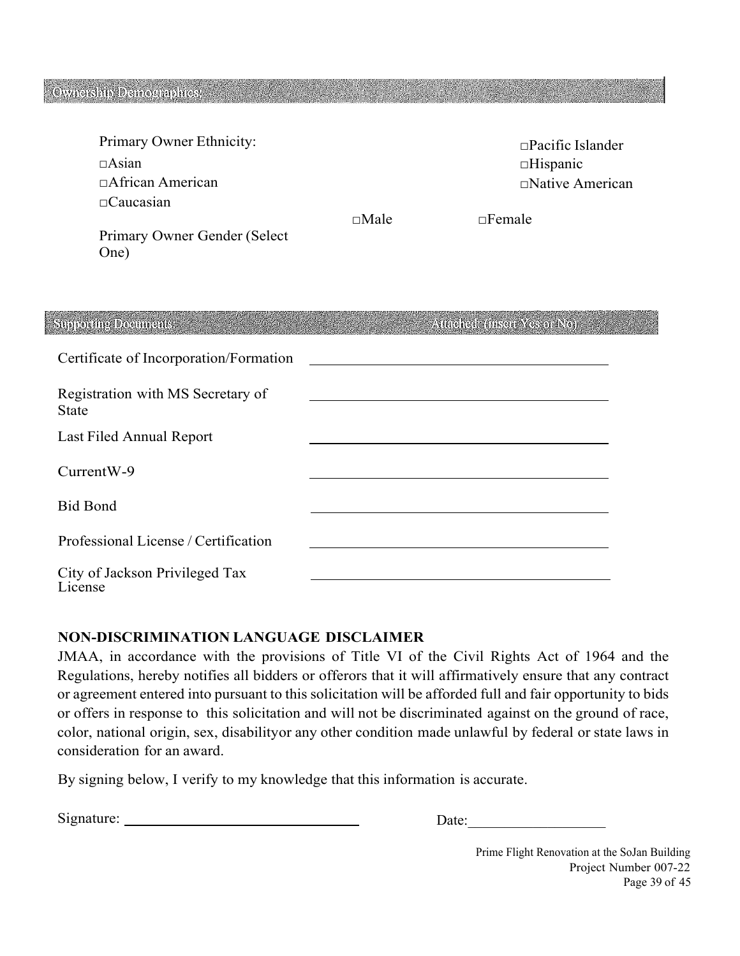## Ownership Demographics:

38.500

|             | $\Box$ Pacific Islander |
|-------------|-------------------------|
|             | $\Box$ Hispanic         |
|             | $\Box$ Native American  |
|             |                         |
| $\Box$ Male | $\Box$ Female           |
|             |                         |
|             |                         |
|             |                         |

| <b>Supporting Documents:</b>               | Attached: (insert Yes of No). |
|--------------------------------------------|-------------------------------|
| Certificate of Incorporation/Formation     |                               |
| Registration with MS Secretary of<br>State |                               |
| Last Filed Annual Report                   |                               |
| CurrentW-9                                 |                               |
| <b>Bid Bond</b>                            |                               |
| Professional License / Certification       |                               |
| City of Jackson Privileged Tax<br>License  |                               |

#### **NON-DISCRIMINATION LANGUAGE DISCLAIMER**

JMAA, in accordance with the provisions of Title VI of the Civil Rights Act of 1964 and the Regulations, hereby notifies all bidders or offerors that it will affirmatively ensure that any contract or agreement entered into pursuant to this solicitation will be afforded full and fair opportunity to bids or offers in response to this solicitation and will not be discriminated against on the ground of race, color, national origin, sex, disability or any other condition made unlawful by federal or state laws in consideration for an award.

By signing below, I verify to my knowledge that this information is accurate.

| $\mathrm{Si}\mathrm{s}$ | . .<br>$\sim$<br>uw |
|-------------------------|---------------------|
|                         |                     |

Prime Flight Renovation at the SoJan Building Project Number 007-22 Page 39 of 45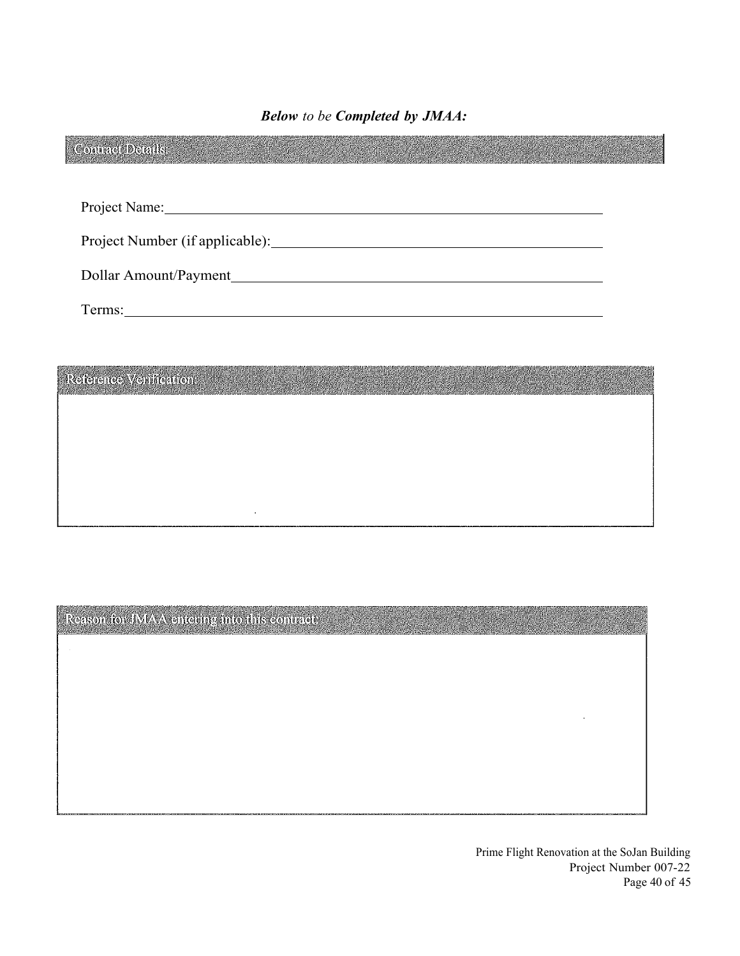*Below to be Completed by JMAA:* 

| Project Name: 1988              |  |                                                      |  |  |
|---------------------------------|--|------------------------------------------------------|--|--|
|                                 |  |                                                      |  |  |
| Project Number (if applicable): |  |                                                      |  |  |
| Dollar Amount/Payment           |  |                                                      |  |  |
|                                 |  |                                                      |  |  |
|                                 |  |                                                      |  |  |
|                                 |  |                                                      |  |  |
| Reference Venification:         |  | 지금에 가는 사람을 나서 사람들이 나가 없다. 이 사람은 사람들은 사람들이 나서 나가 있었다. |  |  |
|                                 |  |                                                      |  |  |
|                                 |  |                                                      |  |  |

Reason for JMAA entering into this contract:

l,

Prime Flight Renovation at the SoJan Building Project Number 007-22 Page 40 of 45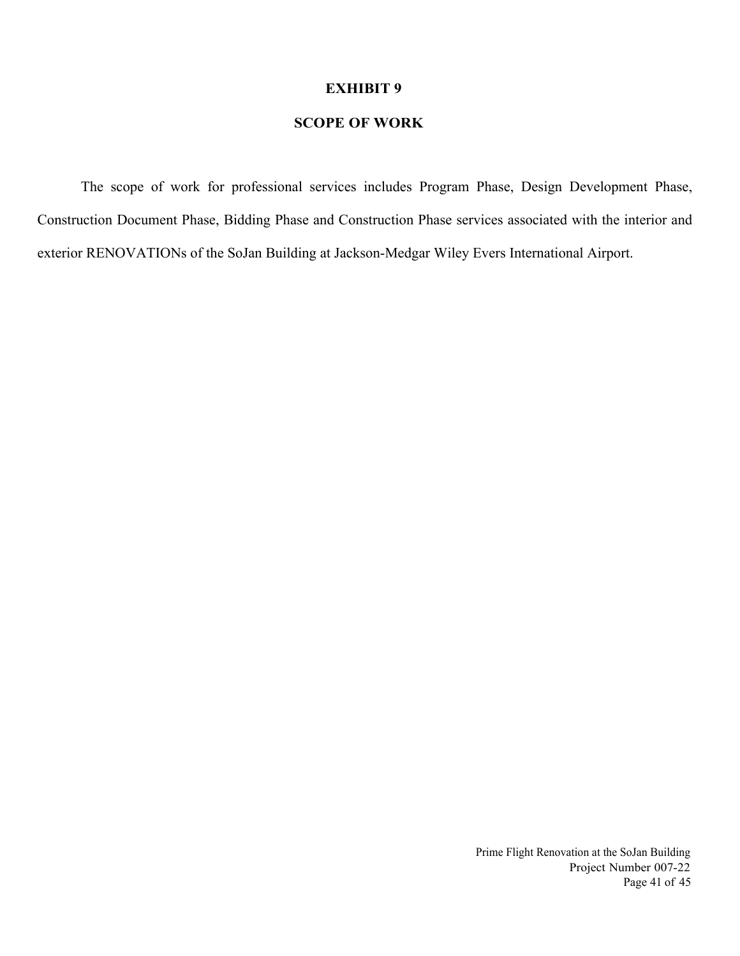#### **SCOPE OF WORK**

The scope of work for professional services includes Program Phase, Design Development Phase, Construction Document Phase, Bidding Phase and Construction Phase services associated with the interior and exterior RENOVATIONs of the SoJan Building at Jackson-Medgar Wiley Evers International Airport.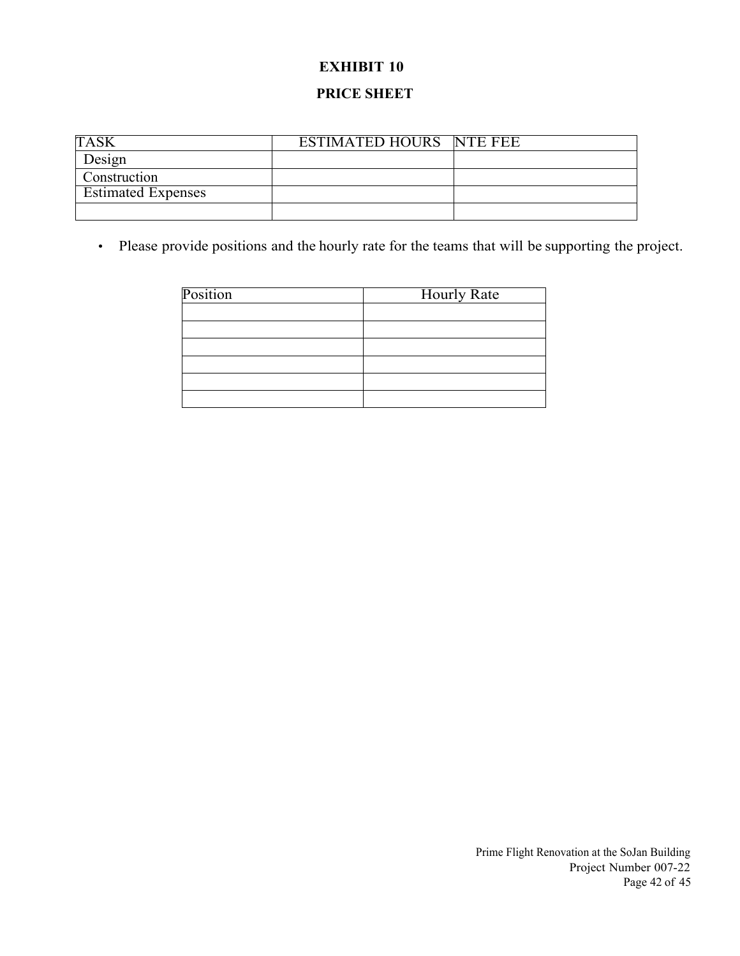# **EXHIBIT 10 PRICE SHEET**

| <b>TAS</b>                | <b>ESTIMATED HOURS NTE FEE</b> |  |
|---------------------------|--------------------------------|--|
| Design                    |                                |  |
| Construction              |                                |  |
| <b>Estimated Expenses</b> |                                |  |
|                           |                                |  |

• Please provide positions and the hourly rate for the teams that will be supporting the project.

| Position | <b>Hourly Rate</b> |
|----------|--------------------|
|          |                    |
|          |                    |
|          |                    |
|          |                    |
|          |                    |
|          |                    |

Prime Flight Renovation at the SoJan Building Project Number 007-22 Page 42 of 45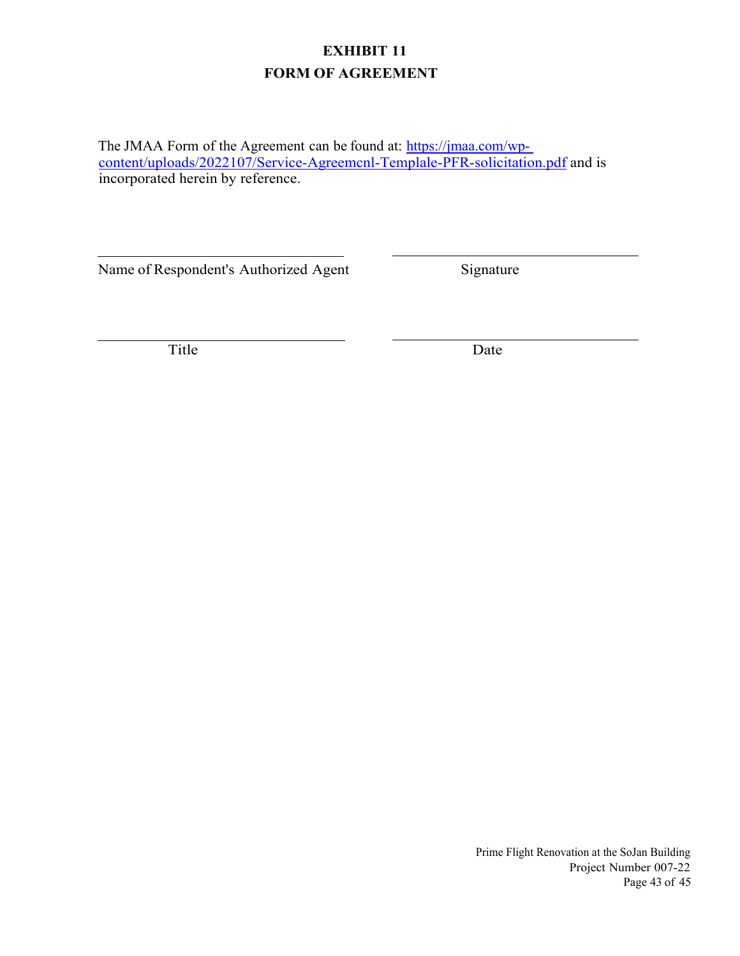## **EXHIBIT 11 FORM OF AGREEMENT**

The JMAA Form of the Agreement can be found at: [https://jmaa.com/wp](https://jmaa.com/?wpdmdl=6585&ind=1649439412521)[content/uploads/2022107/Service-Agreemcnl-Templale-PFR-solicitation.pdf](https://jmaa.com/?wpdmdl=6585&ind=1649439412521) and is incorporated herein by reference.

Name of Respondent's Authorized Agent Signature

Title Date

Prime Flight Renovation at the SoJan Building Project Number 007-22 Page 43 of 45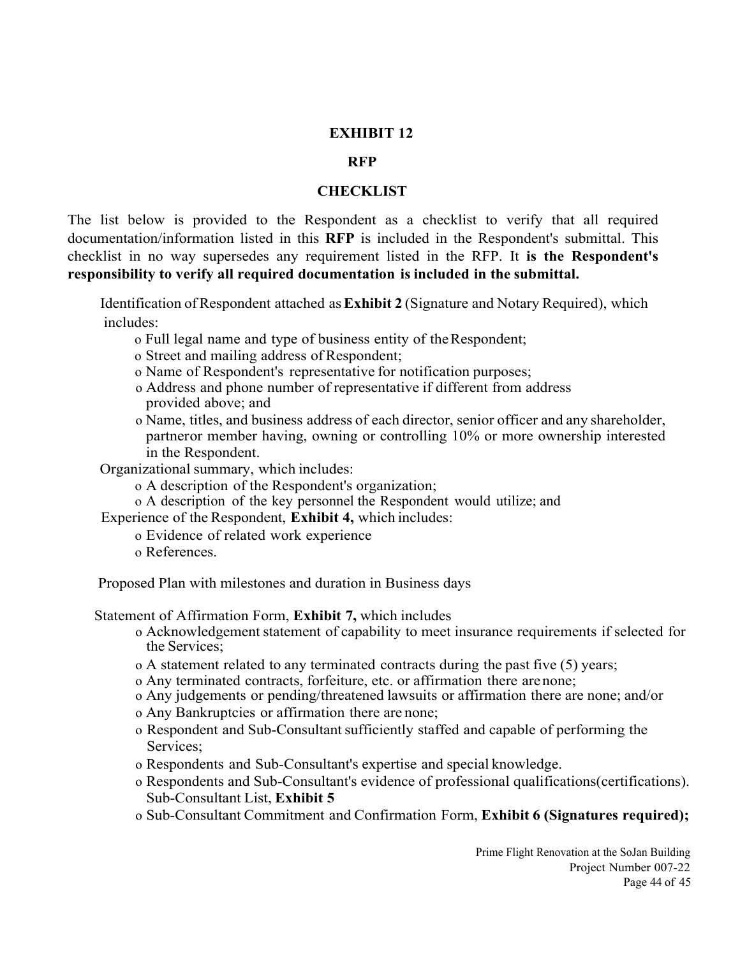#### **RFP**

#### **CHECKLIST**

The list below is provided to the Respondent as a checklist to verify that all required documentation/information listed in this **RFP** is included in the Respondent's submittal. This checklist in no way supersedes any requirement listed in the RFP. It **is the Respondent's responsibility to verify all required documentation is included in the submittal.**

 Identification of Respondent attached as **Exhibit 2** (Signature and Notary Required), which includes:

- o Full legal name and type of business entity of the Respondent;
- o Street and mailing address of Respondent;
- o Name of Respondent's representative for notification purposes;
- o Address and phone number of representative if different from address provided above; and
- o Name, titles, and business address of each director, senior officer and any shareholder, partner or member having, owning or controlling 10% or more ownership interested in the Respondent.
- Organizational summary, which includes:
	- o A description of the Respondent's organization;
	- o A description of the key personnel the Respondent would utilize; and

Experience of the Respondent, **Exhibit 4,** which includes:

- o Evidence of related work experience
- o References.

Proposed Plan with milestones and duration in Business days

Statement of Affirmation Form, **Exhibit 7,** which includes

- o Acknowledgement statement of capability to meet insurance requirements if selected for the Services;
- o A statement related to any terminated contracts during the past five (5) years;
- o Any terminated contracts, forfeiture, etc. or affirmation there are none;
- o Any judgements or pending/threatened lawsuits or affirmation there are none; and/or
- o Any Bankruptcies or affirmation there are none;
- o Respondent and Sub-Consultant sufficiently staffed and capable of performing the Services;
- o Respondents and Sub-Consultant's expertise and special knowledge.
- o Respondents and Sub-Consultant's evidence of professional qualifications(certifications). Sub-Consultant List, **Exhibit 5**
- o Sub-Consultant Commitment and Confirmation Form, **Exhibit 6 (Signatures required);**